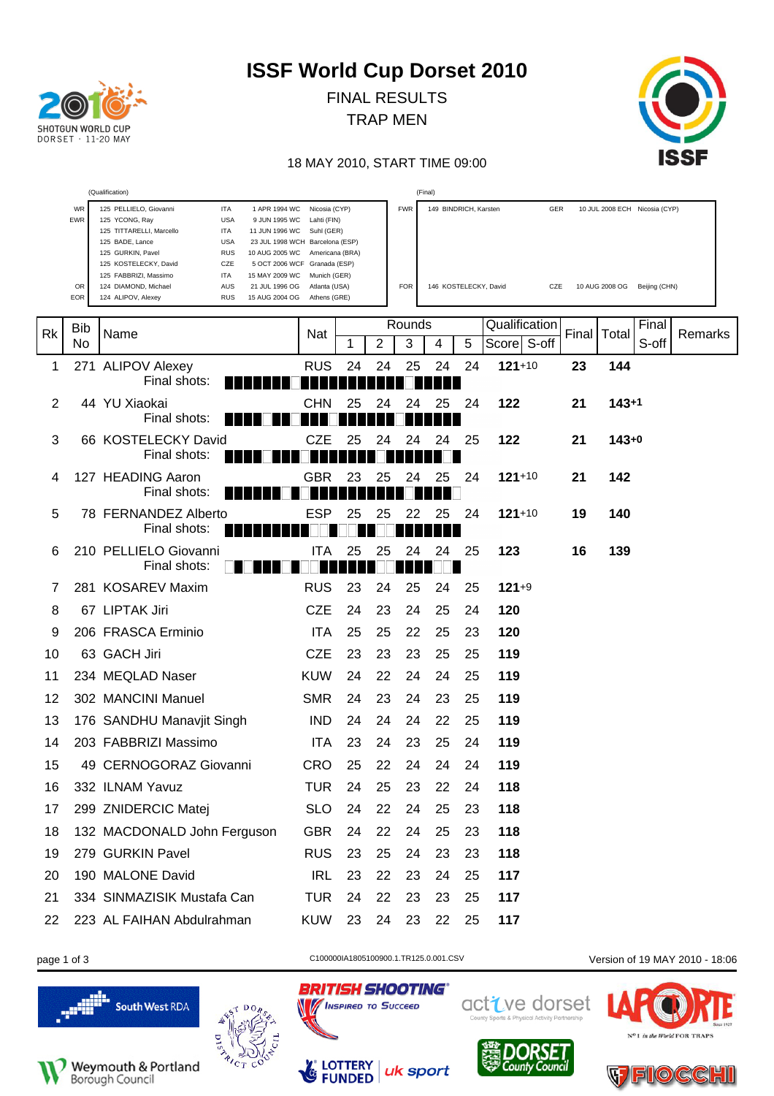| SHOTGUN WORLD CUP<br>$DORSET \cdot 11-20$ MAY |
|-----------------------------------------------|

FINAL RESULTS TRAP MEN



#### 18 MAY 2010, START TIME 09:00

|    |            | (Qualification)                                                                                                                                                                                                                     |                                                                                                                                                  |    |    |            | (Final)               |    |                |       |                |                               |         |
|----|------------|-------------------------------------------------------------------------------------------------------------------------------------------------------------------------------------------------------------------------------------|--------------------------------------------------------------------------------------------------------------------------------------------------|----|----|------------|-----------------------|----|----------------|-------|----------------|-------------------------------|---------|
|    | WR<br>EWR  | 125 PELLIELO, Giovanni<br>ITA<br>1 APR 1994 WC<br>125 YCONG, Ray<br><b>USA</b><br>9 JUN 1995 WC<br>125 TITTARELLI, Marcello<br>ITA<br>11 JUN 1996 WC<br>125 BADE, Lance<br><b>USA</b><br>125 GURKIN, Pavel<br>RUS<br>10 AUG 2005 WC | Nicosia (CYP)<br>Lahti (FIN)<br>Suhl (GER)<br>23 JUL 1998 WCH Barcelona (ESP)<br>Americana (BRA)<br>5 OCT 2006 WCF Granada (ESP)<br>Munich (GER) |    |    | <b>FWR</b> | 149 BINDRICH, Karsten |    |                | GER   |                | 10 JUL 2008 ECH Nicosia (CYP) |         |
|    | OR<br>EOR  | 125 KOSTELECKY, David<br>CZE<br>125 FABBRIZI, Massimo<br>ITA<br>15 MAY 2009 WC<br>124 DIAMOND, Michael<br>AUS<br>21 JUL 1996 OG<br><b>RUS</b><br>15 AUG 2004 OG<br>124 ALIPOV, Alexey                                               | Atlanta (USA)<br>Athens (GRE)                                                                                                                    |    |    | <b>FOR</b> | 146 KOSTELECKY, David |    | CZE            |       | 10 AUG 2008 OG | Beijing (CHN)                 |         |
| Rk | <b>Bib</b> | Name                                                                                                                                                                                                                                | Nat                                                                                                                                              |    |    | Rounds     |                       |    | Qualification  | Final | Total          | Final                         | Remarks |
|    | No         |                                                                                                                                                                                                                                     |                                                                                                                                                  | 1  | 2  | 3          | 4                     | 5  | S-off<br>Score |       |                | S-off                         |         |
| 1  |            | 271 ALIPOV Alexey<br>Final shots:                                                                                                                                                                                                   | <b>RUS</b>                                                                                                                                       | 24 | 24 | 25         | 24                    | 24 | $121+10$       | 23    | 144            |                               |         |
| 2  |            | 44 YU Xiaokai<br>Final shots:                                                                                                                                                                                                       | CHN                                                                                                                                              | 25 | 24 | 24         | 25                    | 24 | 122            | 21    | $143 + 1$      |                               |         |
| 3  |            | 66 KOSTELECKY David<br>Final shots:                                                                                                                                                                                                 | <b>CZE</b>                                                                                                                                       | 25 | 24 | 24         | 24                    | 25 | 122            | 21    | $143+0$        |                               |         |
| 4  |            | 127 HEADING Aaron<br>Final shots:                                                                                                                                                                                                   | <b>GBR</b>                                                                                                                                       | 23 | 25 | 24         | 25                    | 24 | $121+10$       | 21    | 142            |                               |         |
| 5  |            | 78 FERNANDEZ Alberto<br>Final shots:                                                                                                                                                                                                | ESP                                                                                                                                              | 25 | 25 |            | 25                    | 24 | $121+10$       | 19    | 140            |                               |         |
| 6  |            | 210 PELLIELO Giovanni<br>Final shots:                                                                                                                                                                                               | ПA                                                                                                                                               | 25 | 25 | 24         | 24                    | 25 | 123            | 16    | 139            |                               |         |
| 7  |            | 281 KOSAREV Maxim                                                                                                                                                                                                                   | <b>RUS</b>                                                                                                                                       | 23 | 24 | 25         | 24                    | 25 | $121+9$        |       |                |                               |         |
| 8  |            | 67 LIPTAK Jiri                                                                                                                                                                                                                      | <b>CZE</b>                                                                                                                                       | 24 | 23 | 24         | 25                    | 24 | 120            |       |                |                               |         |
| 9  |            | 206 FRASCA Erminio                                                                                                                                                                                                                  | <b>ITA</b>                                                                                                                                       | 25 | 25 | 22         | 25                    | 23 | 120            |       |                |                               |         |
| 10 |            | 63 GACH Jiri                                                                                                                                                                                                                        | <b>CZE</b>                                                                                                                                       | 23 | 23 | 23         | 25                    | 25 | 119            |       |                |                               |         |
| 11 |            | 234 MEQLAD Naser                                                                                                                                                                                                                    | <b>KUW</b>                                                                                                                                       | 24 | 22 | 24         | 24                    | 25 | 119            |       |                |                               |         |
| 12 |            | 302 MANCINI Manuel                                                                                                                                                                                                                  | <b>SMR</b>                                                                                                                                       | 24 | 23 | 24         | 23                    | 25 | 119            |       |                |                               |         |
| 13 |            | 176 SANDHU Manavjit Singh                                                                                                                                                                                                           | <b>IND</b>                                                                                                                                       | 24 | 24 | 24         | 22                    | 25 | 119            |       |                |                               |         |
| 14 |            | 203 FABBRIZI Massimo                                                                                                                                                                                                                | <b>ITA</b>                                                                                                                                       | 23 | 24 | 23         | 25                    | 24 | 119            |       |                |                               |         |
| 15 |            | 49 CERNOGORAZ Giovanni                                                                                                                                                                                                              | <b>CRO</b>                                                                                                                                       | 25 | 22 | 24         | 24                    | 24 | 119            |       |                |                               |         |
| 16 |            | 332 ILNAM Yavuz                                                                                                                                                                                                                     | <b>TUR</b>                                                                                                                                       | 24 | 25 | 23         | 22                    | 24 | 118            |       |                |                               |         |
| 17 |            | 299 ZNIDERCIC Matej                                                                                                                                                                                                                 | <b>SLO</b>                                                                                                                                       | 24 | 22 | 24         | 25                    | 23 | 118            |       |                |                               |         |
| 18 |            | 132 MACDONALD John Ferguson                                                                                                                                                                                                         | <b>GBR</b>                                                                                                                                       | 24 | 22 | 24         | 25                    | 23 | 118            |       |                |                               |         |
| 19 |            | 279 GURKIN Pavel                                                                                                                                                                                                                    | <b>RUS</b>                                                                                                                                       | 23 | 25 | 24         | 23                    | 23 | 118            |       |                |                               |         |
| 20 |            | 190 MALONE David                                                                                                                                                                                                                    | <b>IRL</b>                                                                                                                                       | 23 | 22 | 23         | 24                    | 25 | 117            |       |                |                               |         |
| 21 |            | 334 SINMAZISIK Mustafa Can                                                                                                                                                                                                          | <b>TUR</b>                                                                                                                                       | 24 | 22 | 23         | 23                    | 25 | 117            |       |                |                               |         |
| 22 |            | 223 AL FAIHAN Abdulrahman                                                                                                                                                                                                           | <b>KUW</b>                                                                                                                                       | 23 | 24 | 23         | 22                    | 25 | 117            |       |                |                               |         |



 $\mathcal{L}_{\mathcal{C}}$ 

page 1 of 3 C100000IA1805100900.1.TR125.0.001.CSV Version of 19 MAY 2010 - 18:06







**BRITISH SHOOTING®** 

uk sport

**No / INSPIRED TO SUCCEED** 

LOTTERY<br>FUNDED



active dorset



in the World FOR TRAPS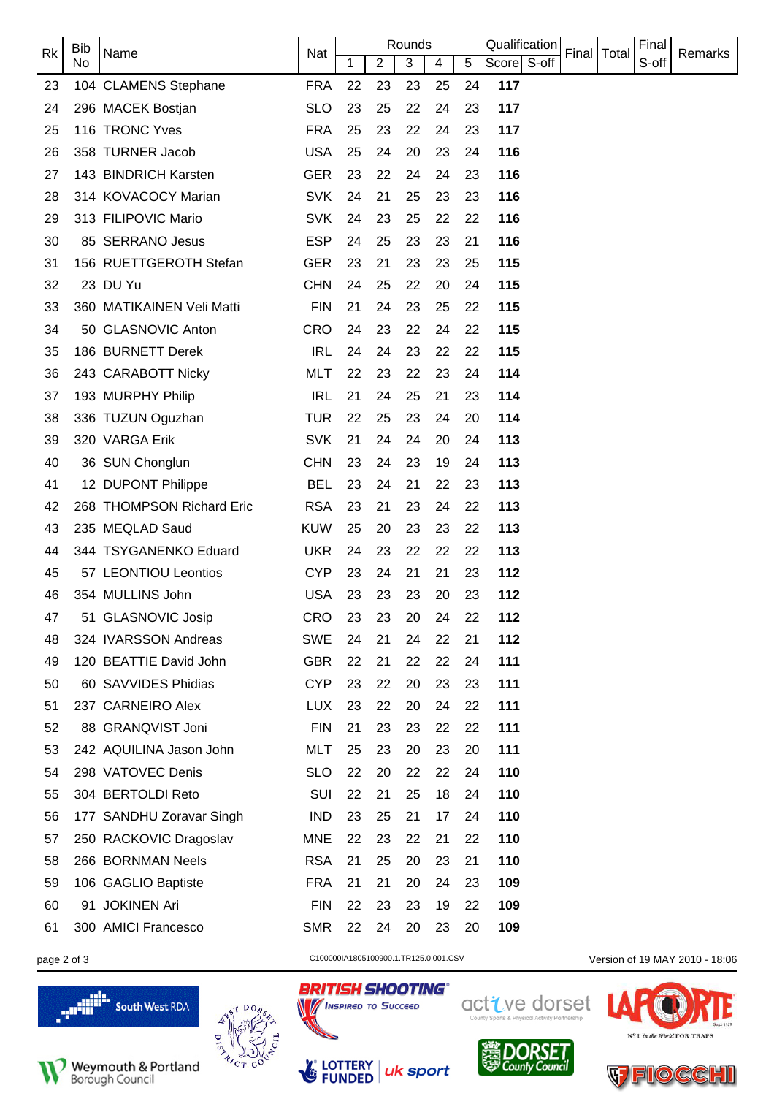|    | <b>Bib</b> |                           |            |    |                | Rounds |    |    | Qualification |               | Final |         |
|----|------------|---------------------------|------------|----|----------------|--------|----|----|---------------|---------------|-------|---------|
| Rk | No.        | Name                      | Nat        | 1  | $\overline{2}$ | 3      | 4  | 5  | Score S-off   | Final   Total | S-off | Remarks |
| 23 |            | 104 CLAMENS Stephane      | <b>FRA</b> | 22 | 23             | 23     | 25 | 24 | 117           |               |       |         |
| 24 |            | 296 MACEK Bostjan         | <b>SLO</b> | 23 | 25             | 22     | 24 | 23 | 117           |               |       |         |
| 25 |            | 116 TRONC Yves            | <b>FRA</b> | 25 | 23             | 22     | 24 | 23 | 117           |               |       |         |
| 26 |            | 358 TURNER Jacob          | <b>USA</b> | 25 | 24             | 20     | 23 | 24 | 116           |               |       |         |
| 27 |            | 143 BINDRICH Karsten      | <b>GER</b> | 23 | 22             | 24     | 24 | 23 | 116           |               |       |         |
| 28 |            | 314 KOVACOCY Marian       | <b>SVK</b> | 24 | 21             | 25     | 23 | 23 | 116           |               |       |         |
| 29 |            | 313 FILIPOVIC Mario       | <b>SVK</b> | 24 | 23             | 25     | 22 | 22 | 116           |               |       |         |
| 30 |            | 85 SERRANO Jesus          | <b>ESP</b> | 24 | 25             | 23     | 23 | 21 | 116           |               |       |         |
| 31 |            | 156 RUETTGEROTH Stefan    | <b>GER</b> | 23 | 21             | 23     | 23 | 25 | 115           |               |       |         |
| 32 |            | 23 DU Yu                  | <b>CHN</b> | 24 | 25             | 22     | 20 | 24 | 115           |               |       |         |
| 33 |            | 360 MATIKAINEN Veli Matti | <b>FIN</b> | 21 | 24             | 23     | 25 | 22 | 115           |               |       |         |
| 34 |            | 50 GLASNOVIC Anton        | <b>CRO</b> | 24 | 23             | 22     | 24 | 22 | 115           |               |       |         |
| 35 |            | 186 BURNETT Derek         | <b>IRL</b> | 24 | 24             | 23     | 22 | 22 | 115           |               |       |         |
| 36 |            | 243 CARABOTT Nicky        | <b>MLT</b> | 22 | 23             | 22     | 23 | 24 | 114           |               |       |         |
| 37 |            | 193 MURPHY Philip         | <b>IRL</b> | 21 | 24             | 25     | 21 | 23 | 114           |               |       |         |
| 38 |            | 336 TUZUN Oguzhan         | <b>TUR</b> | 22 | 25             | 23     | 24 | 20 | 114           |               |       |         |
| 39 |            | 320 VARGA Erik            | <b>SVK</b> | 21 | 24             | 24     | 20 | 24 | 113           |               |       |         |
| 40 |            | 36 SUN Chonglun           | <b>CHN</b> | 23 | 24             | 23     | 19 | 24 | 113           |               |       |         |
| 41 |            | 12 DUPONT Philippe        | <b>BEL</b> | 23 | 24             | 21     | 22 | 23 | 113           |               |       |         |
| 42 |            | 268 THOMPSON Richard Eric | <b>RSA</b> | 23 | 21             | 23     | 24 | 22 | 113           |               |       |         |
| 43 |            | 235 MEQLAD Saud           | <b>KUW</b> | 25 | 20             | 23     | 23 | 22 | 113           |               |       |         |
| 44 |            | 344 TSYGANENKO Eduard     | <b>UKR</b> | 24 | 23             | 22     | 22 | 22 | 113           |               |       |         |
| 45 |            | 57 LEONTIOU Leontios      | <b>CYP</b> | 23 | 24             | 21     | 21 | 23 | 112           |               |       |         |
| 46 |            | 354 MULLINS John          | <b>USA</b> | 23 | 23             | 23     | 20 | 23 | 112           |               |       |         |
| 47 |            | 51 GLASNOVIC Josip        | CRO        | 23 | 23             | 20     | 24 | 22 | 112           |               |       |         |
| 48 |            | 324 IVARSSON Andreas      | <b>SWE</b> | 24 | 21             | 24     | 22 | 21 | 112           |               |       |         |
| 49 |            | 120 BEATTIE David John    | <b>GBR</b> | 22 | 21             | 22     | 22 | 24 | 111           |               |       |         |
| 50 |            | 60 SAVVIDES Phidias       | <b>CYP</b> | 23 | 22             | 20     | 23 | 23 | 111           |               |       |         |
| 51 |            | 237 CARNEIRO Alex         | <b>LUX</b> | 23 | 22             | 20     | 24 | 22 | 111           |               |       |         |
| 52 |            | 88 GRANQVIST Joni         | <b>FIN</b> | 21 | 23             | 23     | 22 | 22 | 111           |               |       |         |
| 53 |            | 242 AQUILINA Jason John   | <b>MLT</b> | 25 | 23             | 20     | 23 | 20 | 111           |               |       |         |
| 54 |            | 298 VATOVEC Denis         | <b>SLO</b> | 22 | 20             | 22     | 22 | 24 | 110           |               |       |         |
| 55 |            | 304 BERTOLDI Reto         | SUI        | 22 | 21             | 25     | 18 | 24 | 110           |               |       |         |
| 56 |            | 177 SANDHU Zoravar Singh  | <b>IND</b> | 23 | 25             | 21     | 17 | 24 | 110           |               |       |         |
| 57 |            | 250 RACKOVIC Dragoslav    | <b>MNE</b> | 22 | 23             | 22     | 21 | 22 | 110           |               |       |         |
| 58 |            | 266 BORNMAN Neels         | <b>RSA</b> | 21 | 25             | 20     | 23 | 21 | 110           |               |       |         |
| 59 |            | 106 GAGLIO Baptiste       | <b>FRA</b> | 21 | 21             | 20     | 24 | 23 | 109           |               |       |         |
| 60 |            | 91 JOKINEN Ari            | <b>FIN</b> | 22 | 23             | 23     | 19 | 22 | 109           |               |       |         |
| 61 |            | 300 AMICI Francesco       | <b>SMR</b> | 22 | 24             | 20     | 23 | 20 | 109           |               |       |         |
|    |            |                           |            |    |                |        |    |    |               |               |       |         |









page 2 of 3 C100000IA1805100900.1.TR125.0.001.CSV Version of 19 MAY 2010 - 18:06



**DORSET**<br>County Council

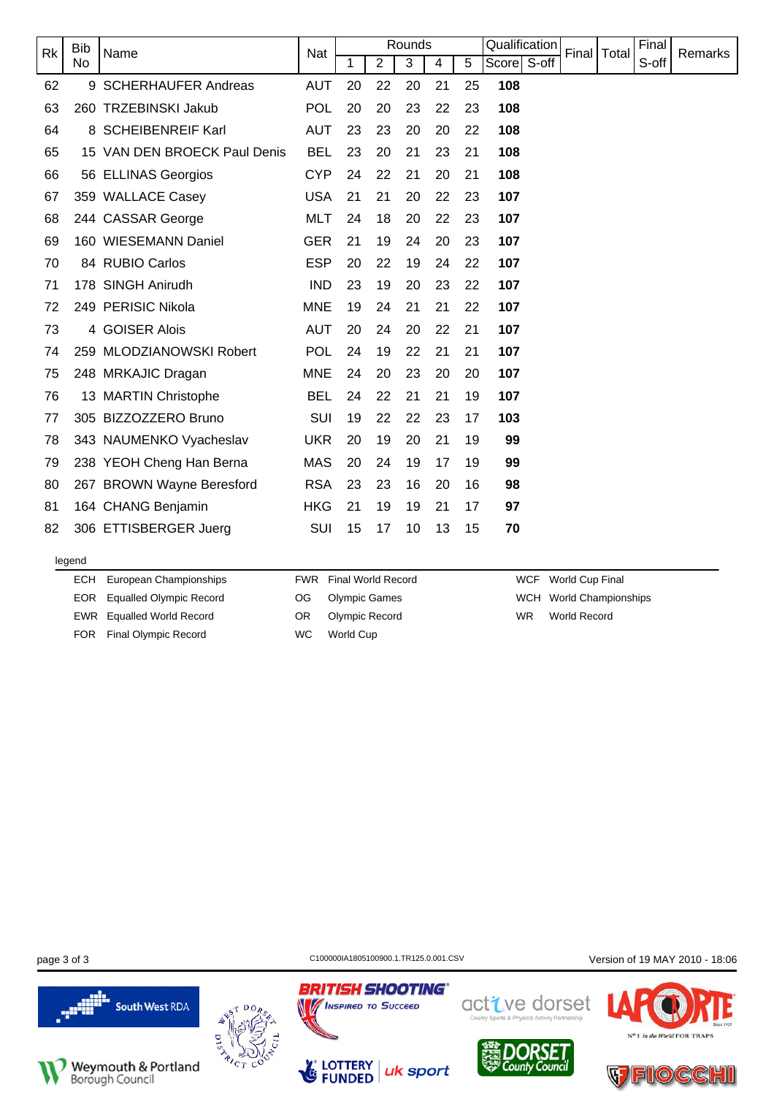| <b>Rk</b> | <b>Bib</b> | Name                         | Nat        |    |                | Rounds |    |    | Qualification |       | Final | Total | Final | <b>Remarks</b> |
|-----------|------------|------------------------------|------------|----|----------------|--------|----|----|---------------|-------|-------|-------|-------|----------------|
|           | No         |                              |            | 1  | $\overline{2}$ | 3      | 4  | 5  | Score         | S-off |       |       | S-off |                |
| 62        |            | 9 SCHERHAUFER Andreas        | <b>AUT</b> | 20 | 22             | 20     | 21 | 25 | 108           |       |       |       |       |                |
| 63        |            | 260 TRZEBINSKI Jakub         | POL        | 20 | 20             | 23     | 22 | 23 | 108           |       |       |       |       |                |
| 64        |            | 8 SCHEIBENREIF Karl          | <b>AUT</b> | 23 | 23             | 20     | 20 | 22 | 108           |       |       |       |       |                |
| 65        |            | 15 VAN DEN BROECK Paul Denis | <b>BEL</b> | 23 | 20             | 21     | 23 | 21 | 108           |       |       |       |       |                |
| 66        |            | 56 ELLINAS Georgios          | <b>CYP</b> | 24 | 22             | 21     | 20 | 21 | 108           |       |       |       |       |                |
| 67        |            | 359 WALLACE Casey            | <b>USA</b> | 21 | 21             | 20     | 22 | 23 | 107           |       |       |       |       |                |
| 68        |            | 244 CASSAR George            | <b>MLT</b> | 24 | 18             | 20     | 22 | 23 | 107           |       |       |       |       |                |
| 69        |            | 160 WIESEMANN Daniel         | <b>GER</b> | 21 | 19             | 24     | 20 | 23 | 107           |       |       |       |       |                |
| 70        |            | 84 RUBIO Carlos              | <b>ESP</b> | 20 | 22             | 19     | 24 | 22 | 107           |       |       |       |       |                |
| 71        |            | 178 SINGH Anirudh            | <b>IND</b> | 23 | 19             | 20     | 23 | 22 | 107           |       |       |       |       |                |
| 72        |            | 249 PERISIC Nikola           | <b>MNE</b> | 19 | 24             | 21     | 21 | 22 | 107           |       |       |       |       |                |
| 73        |            | 4 GOISER Alois               | <b>AUT</b> | 20 | 24             | 20     | 22 | 21 | 107           |       |       |       |       |                |
| 74        |            | 259 MLODZIANOWSKI Robert     | <b>POL</b> | 24 | 19             | 22     | 21 | 21 | 107           |       |       |       |       |                |
| 75        |            | 248 MRKAJIC Dragan           | <b>MNE</b> | 24 | 20             | 23     | 20 | 20 | 107           |       |       |       |       |                |
| 76        |            | 13 MARTIN Christophe         | <b>BEL</b> | 24 | 22             | 21     | 21 | 19 | 107           |       |       |       |       |                |
| 77        |            | 305 BIZZOZZERO Bruno         | <b>SUI</b> | 19 | 22             | 22     | 23 | 17 | 103           |       |       |       |       |                |
| 78        |            | 343 NAUMENKO Vyacheslav      | <b>UKR</b> | 20 | 19             | 20     | 21 | 19 | 99            |       |       |       |       |                |
| 79        |            | 238 YEOH Cheng Han Berna     | <b>MAS</b> | 20 | 24             | 19     | 17 | 19 | 99            |       |       |       |       |                |
| 80        |            | 267 BROWN Wayne Beresford    | <b>RSA</b> | 23 | 23             | 16     | 20 | 16 | 98            |       |       |       |       |                |
| 81        |            | 164 CHANG Benjamin           | <b>HKG</b> | 21 | 19             | 19     | 21 | 17 | 97            |       |       |       |       |                |
| 82        |            | 306 ETTISBERGER Juerg        | SUI        | 15 | 17             | 10     | 13 | 15 | 70            |       |       |       |       |                |
|           |            |                              |            |    |                |        |    |    |               |       |       |       |       |                |

#### legend

ECH European Championships EOR Equalled Olympic Record EWR Equalled World Record FOR Final Olympic Record

FWR Final World Record

- OG Olympic Games
- OR Olympic Record WC World Cup

WCF World Cup Final WCH World Championships WR World Record





uk sport

**BRITISH SHOOTING®** 

**MINSPIRED TO SUCCEED** 

**LOTTERY**<br>**FUNDED** 

N

page 3 of 3 C100000IA1805100900.1.TR125.0.001.CSV Version of 19 MAY 2010 - 18:06





in the World FOR TRAP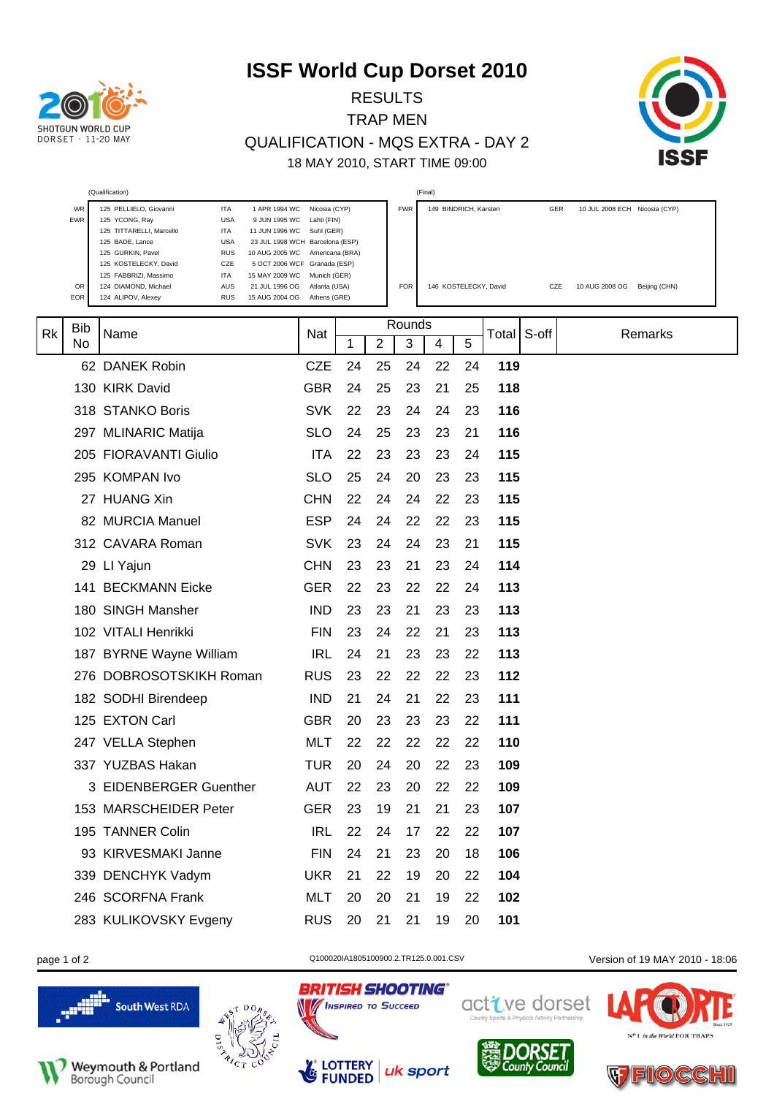

RESULTS TRAP MEN QUALIFICATION - MQS EXTRA - DAY 2 18 MAY 2010, START TIME 09:00



|    |            | (Qualification)                                                                                                                                                                                                                                                                          |                                                                                                                                  |    |    |            | (Final) |                       |         |       |                               |
|----|------------|------------------------------------------------------------------------------------------------------------------------------------------------------------------------------------------------------------------------------------------------------------------------------------------|----------------------------------------------------------------------------------------------------------------------------------|----|----|------------|---------|-----------------------|---------|-------|-------------------------------|
|    | WR<br>EWR  | 125 PELLIELO, Giovanni<br><b>ITA</b><br>1 APR 1994 WC<br><b>USA</b><br>125 YCONG, Ray<br>9 JUN 1995 WC<br>125 TITTARELLI, Marcello<br><b>ITA</b><br>11 JUN 1996 WC<br><b>USA</b><br>125 BADE, Lance<br><b>RUS</b><br>125 GURKIN, Pavel<br>10 AUG 2005 WC<br>125 KOSTELECKY, David<br>CZE | Nicosia (CYP)<br>Lahti (FIN)<br>Suhl (GER)<br>23 JUL 1998 WCH Barcelona (ESP)<br>Americana (BRA)<br>5 OCT 2006 WCF Granada (ESP) |    |    | <b>FWR</b> |         | 149 BINDRICH, Karsten |         | GER   | 10 JUL 2008 ECH Nicosia (CYP) |
|    | OR.<br>EOR | 125 FABBRIZI, Massimo<br>ITA<br>15 MAY 2009 WC<br>AUS<br>124 DIAMOND, Michael<br>21 JUL 1996 OG<br>124 ALIPOV, Alexey<br><b>RUS</b><br>15 AUG 2004 OG                                                                                                                                    | Munich (GER)<br>Atlanta (USA)<br>Athens (GRE)                                                                                    |    |    | <b>FOR</b> |         | 146 KOSTELECKY, David |         | CZE   | 10 AUG 2008 OG Beijing (CHN)  |
| Rk | Bib        | Name                                                                                                                                                                                                                                                                                     | Nat                                                                                                                              |    |    | Rounds     |         |                       | Total I | S-off | Remarks                       |
|    | No         |                                                                                                                                                                                                                                                                                          |                                                                                                                                  | 1  | 2  | 3          | 4       | 5                     |         |       |                               |
|    |            | 62 DANEK Robin                                                                                                                                                                                                                                                                           | <b>CZE</b>                                                                                                                       | 24 | 25 | 24         | 22      | 24                    | 119     |       |                               |
|    |            | 130 KIRK David                                                                                                                                                                                                                                                                           | <b>GBR</b>                                                                                                                       | 24 | 25 | 23         | 21      | 25                    | 118     |       |                               |
|    |            | 318 STANKO Boris                                                                                                                                                                                                                                                                         | <b>SVK</b>                                                                                                                       | 22 | 23 | 24         | 24      | 23                    | 116     |       |                               |
|    |            | 297 MLINARIC Matija                                                                                                                                                                                                                                                                      | <b>SLO</b>                                                                                                                       | 24 | 25 | 23         | 23      | 21                    | 116     |       |                               |
|    |            | 205 FIORAVANTI Giulio                                                                                                                                                                                                                                                                    | <b>ITA</b>                                                                                                                       | 22 | 23 | 23         | 23      | 24                    | 115     |       |                               |
|    |            | 295 KOMPAN Ivo                                                                                                                                                                                                                                                                           | <b>SLO</b>                                                                                                                       | 25 | 24 | 20         | 23      | 23                    | 115     |       |                               |
|    |            | 27 HUANG Xin                                                                                                                                                                                                                                                                             | <b>CHN</b>                                                                                                                       | 22 | 24 | 24         | 22      | 23                    | 115     |       |                               |
|    |            | 82 MURCIA Manuel                                                                                                                                                                                                                                                                         | <b>ESP</b>                                                                                                                       | 24 | 24 | 22         | 22      | 23                    | 115     |       |                               |
|    |            | 312 CAVARA Roman                                                                                                                                                                                                                                                                         | <b>SVK</b>                                                                                                                       | 23 | 24 | 24         | 23      | 21                    | 115     |       |                               |
|    |            | 29 LI Yajun                                                                                                                                                                                                                                                                              | <b>CHN</b>                                                                                                                       | 23 | 23 | 21         | 23      | 24                    | 114     |       |                               |
|    |            | 141 BECKMANN Eicke                                                                                                                                                                                                                                                                       | <b>GER</b>                                                                                                                       | 22 | 23 | 22         | 22      | 24                    | 113     |       |                               |
|    |            | 180 SINGH Mansher                                                                                                                                                                                                                                                                        | <b>IND</b>                                                                                                                       | 23 | 23 | 21         | 23      | 23                    | 113     |       |                               |
|    |            | 102 VITALI Henrikki                                                                                                                                                                                                                                                                      | <b>FIN</b>                                                                                                                       | 23 | 24 | 22         | 21      | 23                    | 113     |       |                               |
|    |            | 187 BYRNE Wayne William                                                                                                                                                                                                                                                                  | <b>IRL</b>                                                                                                                       | 24 | 21 | 23         | 23      | 22                    | 113     |       |                               |
|    |            | 276 DOBROSOTSKIKH Roman                                                                                                                                                                                                                                                                  | <b>RUS</b>                                                                                                                       | 23 | 22 | 22         | 22      | 23                    | 112     |       |                               |
|    |            | 182 SODHI Birendeep                                                                                                                                                                                                                                                                      | <b>IND</b>                                                                                                                       | 21 | 24 | 21         | 22      | 23                    | 111     |       |                               |
|    |            | 125 EXTON Carl                                                                                                                                                                                                                                                                           | <b>GBR</b>                                                                                                                       | 20 | 23 | 23         | 23      | 22                    | 111     |       |                               |
|    |            | 247 VELLA Stephen                                                                                                                                                                                                                                                                        | MLT                                                                                                                              | 22 | 22 | 22         | 22      | 22                    | 110     |       |                               |
|    |            | 337 YUZBAS Hakan                                                                                                                                                                                                                                                                         | TUR                                                                                                                              | 20 | 24 | 20         | 22      | 23                    | 109     |       |                               |
|    |            | 3 EIDENBERGER Guenther                                                                                                                                                                                                                                                                   | <b>AUT</b>                                                                                                                       | 22 | 23 | 20         | 22      | 22                    | 109     |       |                               |
|    |            | 153 MARSCHEIDER Peter                                                                                                                                                                                                                                                                    | <b>GER</b>                                                                                                                       | 23 | 19 | 21         | 21      | 23                    | 107     |       |                               |
|    |            | 195 TANNER Colin                                                                                                                                                                                                                                                                         | <b>IRL</b>                                                                                                                       | 22 | 24 | 17         | 22      | 22                    | 107     |       |                               |
|    |            | 93 KIRVESMAKI Janne                                                                                                                                                                                                                                                                      | <b>FIN</b>                                                                                                                       | 24 | 21 | 23         | 20      | 18                    | 106     |       |                               |
|    |            | 339 DENCHYK Vadym                                                                                                                                                                                                                                                                        | <b>UKR</b>                                                                                                                       | 21 | 22 | 19         | 20      | 22                    | 104     |       |                               |
|    |            | 246 SCORFNA Frank                                                                                                                                                                                                                                                                        | <b>MLT</b>                                                                                                                       | 20 | 20 | 21         | 19      | 22                    | 102     |       |                               |
|    |            | 283 KULIKOVSKY Evgeny                                                                                                                                                                                                                                                                    | <b>RUS</b>                                                                                                                       | 20 | 21 | 21         | 19      | 20                    | 101     |       |                               |



Weymouth & Portland<br>Borough Council





**BRITISH SHOOTING®** 

**No / INSPIRED TO SUCCEED** 



active dorset





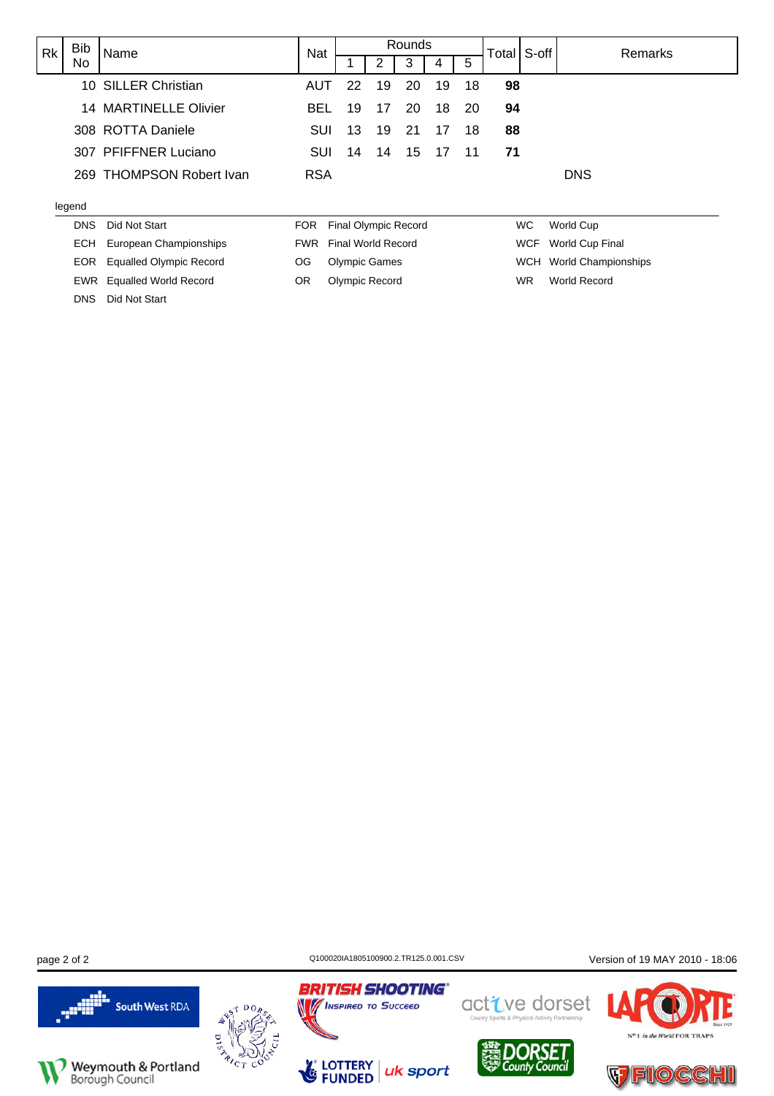| <b>Rk</b> | <b>Bib</b> | Name                     | Nat        |                             |                    | Rounds |    |     | Total S-off |            | Remarks                |
|-----------|------------|--------------------------|------------|-----------------------------|--------------------|--------|----|-----|-------------|------------|------------------------|
|           | No         |                          |            |                             |                    |        |    | 5   |             |            |                        |
|           |            | 10 SILLER Christian      | AUT        | 22                          | 19                 | 20     | 19 | 18  | 98          |            |                        |
|           |            | 14 MARTINELLE Olivier    | <b>BEL</b> | 19                          | 17                 | 20     | 18 | -20 | 94          |            |                        |
|           |            | 308 ROTTA Daniele        | <b>SUI</b> | 13                          | 19                 | 21     | 17 | 18  | 88          |            |                        |
|           |            | 307 PFIFFNER Luciano     | <b>SUI</b> | 14                          | 14                 | 15     | 17 | 11  | 71          |            |                        |
|           |            | 269 THOMPSON Robert Ivan | <b>RSA</b> |                             |                    |        |    |     |             |            | <b>DNS</b>             |
| legend    |            |                          |            |                             |                    |        |    |     |             |            |                        |
|           | <b>DNS</b> | Did Not Start            | <b>FOR</b> | <b>Final Olympic Record</b> |                    |        |    |     |             | WC.        | World Cup              |
|           | ECH.       | European Championships   | <b>FWR</b> |                             | Final World Record |        |    |     |             | <b>WCF</b> | <b>World Cup Final</b> |

OG Olympic Games OR Olympic Record

**BRITISH SHOOTING®** 

page 2 of 2 C100020IA1805100900.2.TR125.0.001.CSV Version of 19 MAY 2010 - 18:06



EOR Equalled Olympic Record EWR Equalled World Record

DNS Did Not Start



**No INSPIRED TO SUCCEED** LOTTERY<br>FUNDED LG uk sport



WCH World Championships WR World Record



N<sup>o</sup>1 in the World FOR TRAPS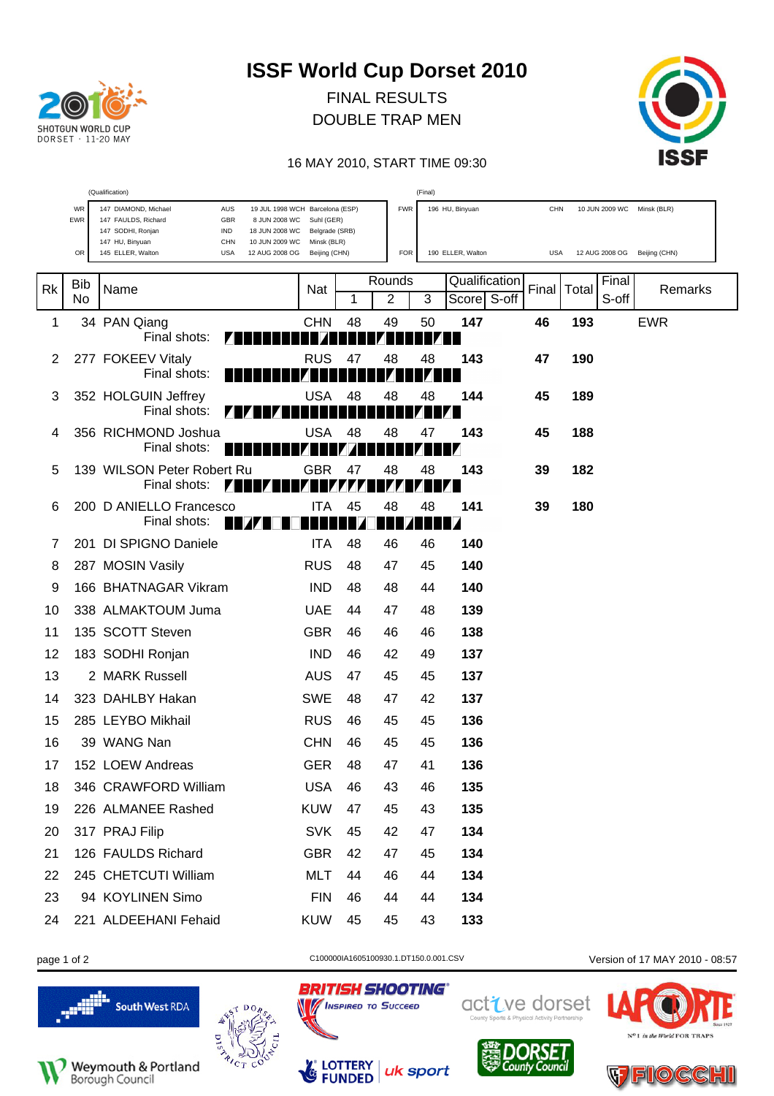

FINAL RESULTS DOUBLE TRAP MEN



#### 16 MAY 2010, START TIME 09:30

|    | (Qualification)<br>(Final) |                                                                                                                                                                    |                              |    |                |    |                   |       |            |       |       |                              |  |
|----|----------------------------|--------------------------------------------------------------------------------------------------------------------------------------------------------------------|------------------------------|----|----------------|----|-------------------|-------|------------|-------|-------|------------------------------|--|
|    | WR<br>EWR                  | 147 DIAMOND, Michael<br>AUS<br>19 JUL 1998 WCH Barcelona (ESP)<br>147 FAULDS, Richard<br>GBR<br>8 JUN 2008 WC<br>147 SODHI, Ronjan<br><b>IND</b><br>18 JUN 2008 WC | Suhl (GER)<br>Belgrade (SRB) |    | <b>FWR</b>     |    | 196 HU, Binyuan   |       | <b>CHN</b> |       |       | 10 JUN 2009 WC Minsk (BLR)   |  |
|    | OR                         | 147 HU, Binyuan<br><b>CHN</b><br>10 JUN 2009 WC<br>145 ELLER, Walton<br><b>USA</b><br>12 AUG 2008 OG                                                               | Minsk (BLR)<br>Beijing (CHN) |    | <b>FOR</b>     |    | 190 ELLER, Walton |       | <b>USA</b> |       |       | 12 AUG 2008 OG Beijing (CHN) |  |
| Rk | Bib                        | Name                                                                                                                                                               | Nat                          |    | Rounds         |    | Qualification     | Final |            | Total | Final | Remarks                      |  |
|    | No                         |                                                                                                                                                                    |                              | 1  | $\overline{2}$ | 3  | Score S-off       |       |            |       | S-off |                              |  |
| 1  |                            | 34 PAN Qiang<br>Final shots:                                                                                                                                       | <b>CHN</b>                   | 48 | 49             | 50 | 147               | 46    |            | 193   |       | <b>EWR</b>                   |  |
| 2  |                            | 277 FOKEEV Vitaly<br>Final shots:                                                                                                                                  | <b>RUS</b>                   | 47 | 48             | 48 | 143               | 47    |            | 190   |       |                              |  |
| 3  |                            | 352 HOLGUIN Jeffrey<br>Final shots:                                                                                                                                | <b>USA</b>                   | 48 | 48             | 48 | 144               | 45    |            | 189   |       |                              |  |
| 4  |                            | 356 RICHMOND Joshua<br>Final shots:<br>ш                                                                                                                           | USA                          | 48 | 48             | 47 | 143               | 45    |            | 188   |       |                              |  |
| 5  |                            | 139 WILSON Peter Robert Ru<br>Final shots:                                                                                                                         | <b>GBR</b>                   | 47 | 48             | 48 | 143               | 39    |            | 182   |       |                              |  |
| 6  |                            | 200 D ANIELLO Francesco<br>Final shots:                                                                                                                            | <b>ITA</b>                   | 45 | 48             | 48 | 141               | 39    |            | 180   |       |                              |  |
| 7  |                            | 201 DI SPIGNO Daniele                                                                                                                                              | <b>ITA</b>                   | 48 | 46             | 46 | 140               |       |            |       |       |                              |  |
| 8  |                            | 287 MOSIN Vasily                                                                                                                                                   | <b>RUS</b>                   | 48 | 47             | 45 | 140               |       |            |       |       |                              |  |
| 9  |                            | 166 BHATNAGAR Vikram                                                                                                                                               | <b>IND</b>                   | 48 | 48             | 44 | 140               |       |            |       |       |                              |  |
| 10 |                            | 338 ALMAKTOUM Juma                                                                                                                                                 | <b>UAE</b>                   | 44 | 47             | 48 | 139               |       |            |       |       |                              |  |
| 11 |                            | 135 SCOTT Steven                                                                                                                                                   | <b>GBR</b>                   | 46 | 46             | 46 | 138               |       |            |       |       |                              |  |
| 12 |                            | 183 SODHI Ronjan                                                                                                                                                   | <b>IND</b>                   | 46 | 42             | 49 | 137               |       |            |       |       |                              |  |
| 13 |                            | 2 MARK Russell                                                                                                                                                     | <b>AUS</b>                   | 47 | 45             | 45 | 137               |       |            |       |       |                              |  |
| 14 |                            | 323 DAHLBY Hakan                                                                                                                                                   | <b>SWE</b>                   | 48 | 47             | 42 | 137               |       |            |       |       |                              |  |
| 15 |                            | 285 LEYBO Mikhail                                                                                                                                                  | <b>RUS</b>                   | 46 | 45             | 45 | 136               |       |            |       |       |                              |  |
| 16 |                            | 39 WANG Nan                                                                                                                                                        | <b>CHN</b>                   | 46 | 45             | 45 | 136               |       |            |       |       |                              |  |
| 17 |                            | 152 LOEW Andreas                                                                                                                                                   | <b>GER</b>                   | 48 | 47             | 41 | 136               |       |            |       |       |                              |  |
| 18 |                            | 346 CRAWFORD William                                                                                                                                               | <b>USA</b>                   | 46 | 43             | 46 | 135               |       |            |       |       |                              |  |
| 19 |                            | 226 ALMANEE Rashed                                                                                                                                                 | <b>KUW</b>                   | 47 | 45             | 43 | 135               |       |            |       |       |                              |  |
| 20 |                            | 317 PRAJ Filip                                                                                                                                                     | <b>SVK</b>                   | 45 | 42             | 47 | 134               |       |            |       |       |                              |  |
| 21 |                            | 126 FAULDS Richard                                                                                                                                                 | <b>GBR</b>                   | 42 | 47             | 45 | 134               |       |            |       |       |                              |  |
| 22 |                            | 245 CHETCUTI William                                                                                                                                               | MLT                          | 44 | 46             | 44 | 134               |       |            |       |       |                              |  |
| 23 |                            | 94 KOYLINEN Simo                                                                                                                                                   | <b>FIN</b>                   | 46 | 44             | 44 | 134               |       |            |       |       |                              |  |
| 24 |                            | 221 ALDEEHANI Fehaid                                                                                                                                               | <b>KUW</b>                   | 45 | 45             | 43 | 133               |       |            |       |       |                              |  |







page 1 of 2 C100000IA1605100930.1.DT150.0.001.CSV Version of 17 MAY 2010 - 08:57

uk sport

**BRITISH SHOOTING®** 

**No / INSPIRED TO SUCCEED** 

LOTTERY<br>FUNDED

 $\mathcal{L}_{\mathcal{C}}$ 



active dorset



in the World FOR TRAPS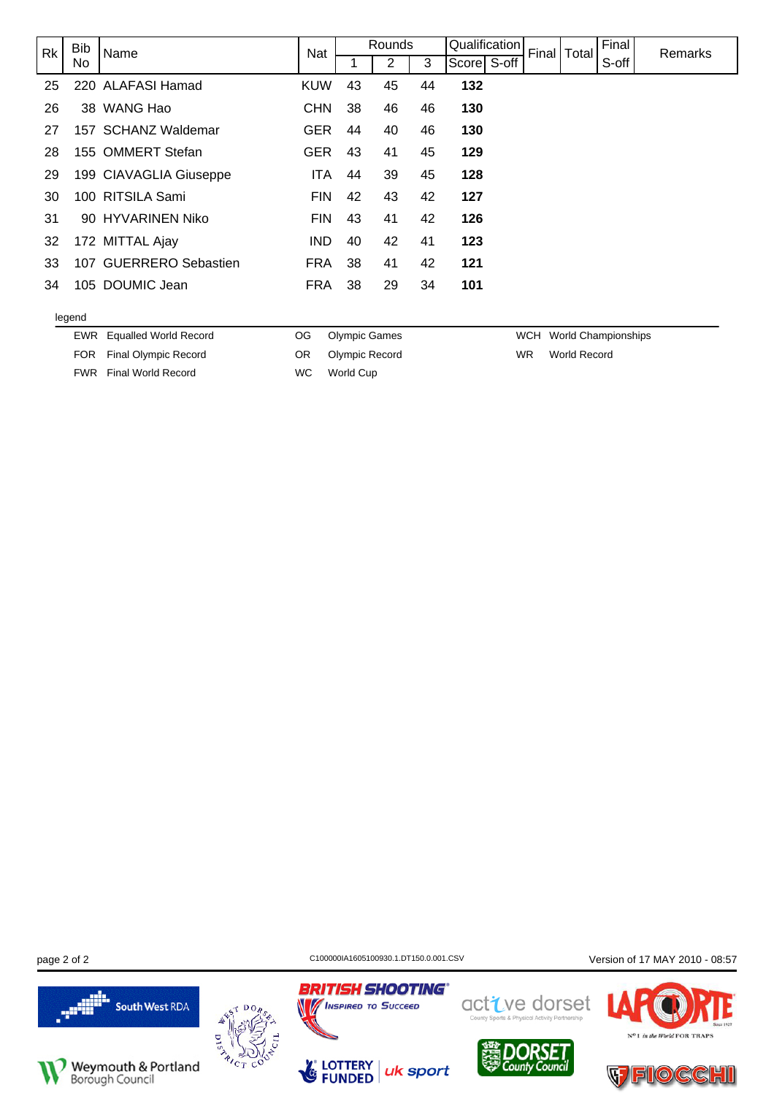| Rk | <b>Bib</b> | Name                   | <b>Nat</b> |    | Rounds |    | Qualification |  | Final Total | Final | Remarks |
|----|------------|------------------------|------------|----|--------|----|---------------|--|-------------|-------|---------|
|    | No         |                        |            |    | 2      | 3  | Score S-off   |  |             | S-off |         |
| 25 |            | 220 ALAFASI Hamad      | <b>KUW</b> | 43 | 45     | 44 | 132           |  |             |       |         |
| 26 |            | 38 WANG Hao            | <b>CHN</b> | 38 | 46     | 46 | 130           |  |             |       |         |
| 27 |            | 157 SCHANZ Waldemar    | <b>GER</b> | 44 | 40     | 46 | 130           |  |             |       |         |
| 28 |            | 155 OMMERT Stefan      | <b>GER</b> | 43 | 41     | 45 | 129           |  |             |       |         |
| 29 |            | 199 CIAVAGLIA Giuseppe | <b>ITA</b> | 44 | 39     | 45 | 128           |  |             |       |         |
| 30 |            | 100 RITSILA Sami       | <b>FIN</b> | 42 | 43     | 42 | 127           |  |             |       |         |
| 31 |            | 90 HYVARINEN Niko      | <b>FIN</b> | 43 | 41     | 42 | 126           |  |             |       |         |
| 32 |            | 172 MITTAL Ajay        | IND.       | 40 | 42     | 41 | 123           |  |             |       |         |
| 33 |            | 107 GUERRERO Sebastien | <b>FRA</b> | 38 | 41     | 42 | 121           |  |             |       |         |
| 34 |            | 105 DOUMIC Jean        | <b>FRA</b> | 38 | 29     | 34 | 101           |  |             |       |         |
|    |            |                        |            |    |        |    |               |  |             |       |         |

#### legend

EWR Equalled World Record

OG Olympic Games OR Olympic Record

FOR Final Olympic Record FWR Final World Record

WC World Cup

WCH World Championships

WR World Record

**BRITISH SHOOTING®** 

page 2 of 2 C100000IA1605100930.1.DT150.0.001.CSV Version of 17 MAY 2010 - 08:57





**No / INSPIRED TO SUCCEED** 





active dorset



in the World FOR TRAP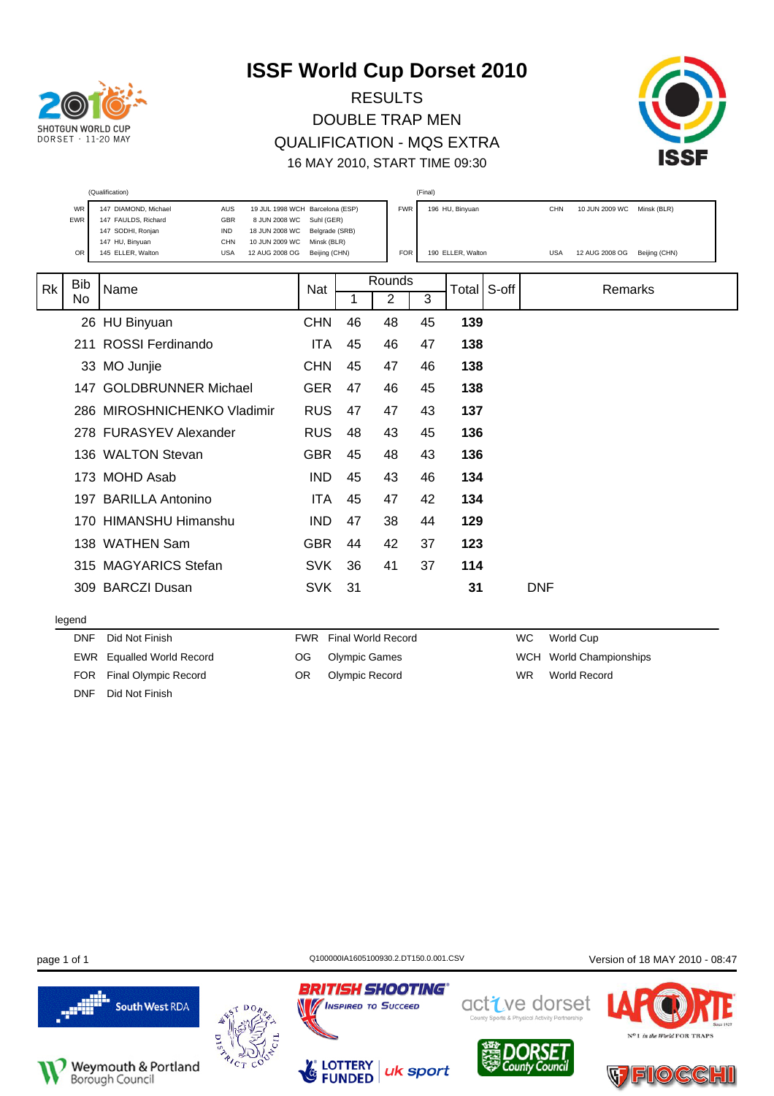

RESULTS DOUBLE TRAP MEN QUALIFICATION - MQS EXTRA 16 MAY 2010, START TIME 09:30



|    |            |                                                                                                  | (Qualification)<br>(Final)<br>19 JUL 1998 WCH Barcelona (ESP) |    |            |           |                   |       |            |                            |               |  |  |  |  |  |
|----|------------|--------------------------------------------------------------------------------------------------|---------------------------------------------------------------|----|------------|-----------|-------------------|-------|------------|----------------------------|---------------|--|--|--|--|--|
|    | WR         | 147 DIAMOND, Michael<br><b>AUS</b>                                                               |                                                               |    | <b>FWR</b> |           | 196 HU, Binyuan   |       | <b>CHN</b> | 10 JUN 2009 WC Minsk (BLR) |               |  |  |  |  |  |
|    | <b>EWR</b> | 147 FAULDS, Richard<br>GBR<br>8 JUN 2008 WC<br>147 SODHI, Ronjan<br><b>IND</b><br>18 JUN 2008 WC | Suhl (GER)<br>Belgrade (SRB)                                  |    |            |           |                   |       |            |                            |               |  |  |  |  |  |
|    |            | 147 HU, Binyuan<br>CHN<br>10 JUN 2009 WC                                                         | Minsk (BLR)                                                   |    |            |           |                   |       |            |                            |               |  |  |  |  |  |
|    | OR         | 145 ELLER, Walton<br><b>USA</b><br>12 AUG 2008 OG                                                | Beijing (CHN)                                                 |    | <b>FOR</b> |           | 190 ELLER, Walton |       | <b>USA</b> | 12 AUG 2008 OG             | Beijing (CHN) |  |  |  |  |  |
|    |            |                                                                                                  |                                                               |    | Rounds     |           |                   |       |            |                            |               |  |  |  |  |  |
| Rk | <b>Bib</b> | Name                                                                                             | <b>Nat</b>                                                    |    |            |           | Total             | S-off |            | Remarks                    |               |  |  |  |  |  |
|    | No         |                                                                                                  |                                                               | 1  | 2          | 3         |                   |       |            |                            |               |  |  |  |  |  |
|    |            | 26 HU Binyuan                                                                                    | <b>CHN</b>                                                    | 46 | 48         | 45        | 139               |       |            |                            |               |  |  |  |  |  |
|    | 211        | <b>ROSSI Ferdinando</b>                                                                          | ITA                                                           | 45 | 46         | 47        | 138               |       |            |                            |               |  |  |  |  |  |
|    |            | 33 MO Junjie                                                                                     | <b>CHN</b>                                                    | 45 | 47         | 46        | 138               |       |            |                            |               |  |  |  |  |  |
|    | 147        | <b>GOLDBRUNNER Michael</b>                                                                       | <b>GER</b>                                                    | 47 | 46         | 45        | 138               |       |            |                            |               |  |  |  |  |  |
|    |            | 286 MIROSHNICHENKO Vladimir                                                                      | <b>RUS</b>                                                    | 47 | 47         | 43        | 137               |       |            |                            |               |  |  |  |  |  |
|    |            | 278 FURASYEV Alexander                                                                           | <b>RUS</b>                                                    | 48 | 43         | 45        | 136               |       |            |                            |               |  |  |  |  |  |
|    |            | 136 WALTON Stevan                                                                                | <b>GBR</b>                                                    | 45 | 48         | 43        | 136               |       |            |                            |               |  |  |  |  |  |
|    |            | 173 MOHD Asab                                                                                    | <b>IND</b>                                                    | 45 | 43         | 46        | 134               |       |            |                            |               |  |  |  |  |  |
|    |            | 197 BARILLA Antonino                                                                             | <b>ITA</b>                                                    | 45 | 47         | 42        | 134               |       |            |                            |               |  |  |  |  |  |
|    |            | 170 HIMANSHU Himanshu                                                                            | <b>IND</b>                                                    | 47 | 38         | 44        | 129               |       |            |                            |               |  |  |  |  |  |
|    |            | 138 WATHEN Sam                                                                                   | <b>GBR</b>                                                    | 44 | 42         | 37        | 123               |       |            |                            |               |  |  |  |  |  |
|    |            | 315 MAGYARICS Stefan                                                                             | <b>SVK</b>                                                    | 36 | 41         | 37        | 114               |       |            |                            |               |  |  |  |  |  |
|    |            | 309 BARCZI Dusan                                                                                 | <b>SVK</b>                                                    | 31 |            |           | 31                |       | <b>DNF</b> |                            |               |  |  |  |  |  |
|    | legend     |                                                                                                  |                                                               |    |            |           |                   |       |            |                            |               |  |  |  |  |  |
|    | <b>DNF</b> | Did Not Finish<br><b>FWR</b> Final World Record                                                  |                                                               |    | WC         | World Cup |                   |       |            |                            |               |  |  |  |  |  |

EWR Equalled World Record FOR Final Olympic Record

DNF Did Not Finish

- OG Olympic Games
	- OR Olympic Record

WCH World Championships WR World Record



**BRITISH SHOOTING®** 

**MINSPIRED TO SUCCEED** 

**LOTTERY**<br>**FUNDED** 

N

page 1 of 1 C100000IA1605100930.2.DT150.0.001.CSV Version of 18 MAY 2010 - 08:47





uk sport

active dorset in the World FOR TRAP

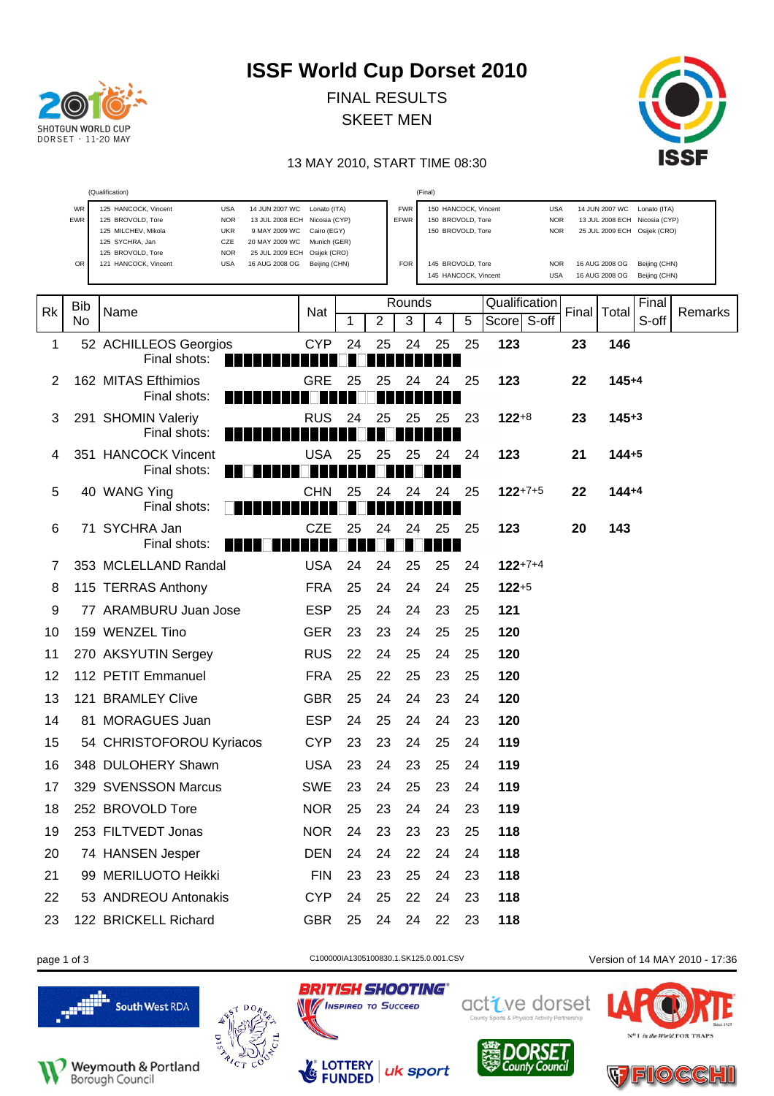

FINAL RESULTS SKEET MEN



#### 13 MAY 2010, START TIME 08:30

|    |            | (Qualification)                                                                                                                                                                                                            |                                             |    |    |                    | (Final)                                                        |    |                                        |       |                                                                                                 |         |
|----|------------|----------------------------------------------------------------------------------------------------------------------------------------------------------------------------------------------------------------------------|---------------------------------------------|----|----|--------------------|----------------------------------------------------------------|----|----------------------------------------|-------|-------------------------------------------------------------------------------------------------|---------|
|    | WR<br>EWR  | 125 HANCOCK, Vincent<br><b>USA</b><br>14 JUN 2007 WC<br>125 BROVOLD, Tore<br><b>NOR</b><br>13 JUL 2008 ECH Nicosia (CYP)<br>125 MILCHEV, Mikola<br><b>UKR</b><br>9 MAY 2009 WC<br>125 SYCHRA, Jan<br>CZE<br>20 MAY 2009 WC | Lonato (ITA)<br>Cairo (EGY)<br>Munich (GER) |    |    | <b>FWR</b><br>EFWR | 150 HANCOCK, Vincent<br>150 BROVOLD, Tore<br>150 BROVOLD, Tore |    | <b>USA</b><br><b>NOR</b><br><b>NOR</b> |       | 14 JUN 2007 WC<br>Lonato (ITA)<br>13 JUL 2008 ECH Nicosia (CYP)<br>25 JUL 2009 ECH Osijek (CRO) |         |
|    | OR         | 125 BROVOLD, Tore<br><b>NOR</b><br>25 JUL 2009 ECH Osijek (CRO)<br>121 HANCOCK, Vincent<br><b>USA</b><br>16 AUG 2008 OG                                                                                                    | Beijing (CHN)                               |    |    | <b>FOR</b>         | 145 BROVOLD, Tore<br>145 HANCOCK, Vincent                      |    | <b>NOR</b><br><b>USA</b>               |       | 16 AUG 2008 OG<br>Beijing (CHN)<br>16 AUG 2008 OG<br>Beijing (CHN)                              |         |
| Rk | Bib<br>No. | Name                                                                                                                                                                                                                       | Nat                                         | 1  | 2  | Rounds<br>3        | 4                                                              | 5  | Qualification<br>Score S-off           | Final | Final<br>Total<br>S-off                                                                         | Remarks |
| 1  |            | 52 ACHILLEOS Georgios<br>Final shots:                                                                                                                                                                                      | <b>CYP</b>                                  | 24 | 25 | 24                 | 25                                                             | 25 | 123                                    | 23    | 146                                                                                             |         |
| 2  |            | 162 MITAS Efthimios<br>Final shots:                                                                                                                                                                                        | <b>GRE</b>                                  | 25 | 25 | 24                 | 24                                                             | 25 | 123                                    | 22    | $145 + 4$                                                                                       |         |
| 3  |            | 291 SHOMIN Valeriy<br>Final shots:                                                                                                                                                                                         | <b>RUS</b>                                  | 24 | 25 | 25                 | 25                                                             | 23 | $122+8$                                | 23    | $145 + 3$                                                                                       |         |
| 4  |            | 351 HANCOCK Vincent<br>Final shots:                                                                                                                                                                                        | <b>USA</b>                                  | 25 | 25 | 25                 | 24                                                             | 24 | 123                                    | 21    | $144 + 5$                                                                                       |         |
| 5  |            | 40 WANG Ying<br>Final shots:                                                                                                                                                                                               | CHN                                         | 25 | 24 | 24                 | 24                                                             | 25 | $122+7+5$                              | 22    | $144 + 4$                                                                                       |         |
| 6  |            | 71 SYCHRA Jan<br>Final shots:                                                                                                                                                                                              | CZE                                         | 25 | 24 | 24                 | 25                                                             | 25 | 123                                    | 20    | 143                                                                                             |         |
| 7  |            | 353 MCLELLAND Randal                                                                                                                                                                                                       | <b>USA</b>                                  | 24 | 24 | 25                 | 25                                                             | 24 | $122+7+4$                              |       |                                                                                                 |         |
| 8  |            | 115 TERRAS Anthony                                                                                                                                                                                                         | <b>FRA</b>                                  | 25 | 24 | 24                 | 24                                                             | 25 | $122+5$                                |       |                                                                                                 |         |
| 9  |            | 77 ARAMBURU Juan Jose                                                                                                                                                                                                      | <b>ESP</b>                                  | 25 | 24 | 24                 | 23                                                             | 25 | 121                                    |       |                                                                                                 |         |
| 10 |            | 159 WENZEL Tino                                                                                                                                                                                                            | <b>GER</b>                                  | 23 | 23 | 24                 | 25                                                             | 25 | 120                                    |       |                                                                                                 |         |
| 11 |            | 270 AKSYUTIN Sergey                                                                                                                                                                                                        | <b>RUS</b>                                  | 22 | 24 | 25                 | 24                                                             | 25 | 120                                    |       |                                                                                                 |         |
| 12 |            | 112 PETIT Emmanuel                                                                                                                                                                                                         | <b>FRA</b>                                  | 25 | 22 | 25                 | 23                                                             | 25 | 120                                    |       |                                                                                                 |         |
| 13 |            | 121 BRAMLEY Clive                                                                                                                                                                                                          | <b>GBR</b>                                  | 25 | 24 | 24                 | 23                                                             | 24 | 120                                    |       |                                                                                                 |         |
| 14 |            | 81 MORAGUES Juan                                                                                                                                                                                                           | <b>ESP</b>                                  | 24 | 25 | 24                 | 24                                                             | 23 | 120                                    |       |                                                                                                 |         |
| 15 |            | 54 CHRISTOFOROU Kyriacos                                                                                                                                                                                                   | <b>CYP</b>                                  | 23 | 23 | 24                 | 25                                                             | 24 | 119                                    |       |                                                                                                 |         |
| 16 |            | 348 DULOHERY Shawn                                                                                                                                                                                                         | <b>USA</b>                                  | 23 | 24 | 23                 | 25                                                             | 24 | 119                                    |       |                                                                                                 |         |
| 17 |            | 329 SVENSSON Marcus                                                                                                                                                                                                        | <b>SWE</b>                                  | 23 | 24 | 25                 | 23                                                             | 24 | 119                                    |       |                                                                                                 |         |
| 18 |            | 252 BROVOLD Tore                                                                                                                                                                                                           | <b>NOR</b>                                  | 25 | 23 | 24                 | 24                                                             | 23 | 119                                    |       |                                                                                                 |         |
| 19 |            | 253 FILTVEDT Jonas                                                                                                                                                                                                         | <b>NOR</b>                                  | 24 | 23 | 23                 | 23                                                             | 25 | 118                                    |       |                                                                                                 |         |
| 20 |            | 74 HANSEN Jesper                                                                                                                                                                                                           | <b>DEN</b>                                  | 24 | 24 | 22                 | 24                                                             | 24 | 118                                    |       |                                                                                                 |         |
| 21 |            | 99 MERILUOTO Heikki                                                                                                                                                                                                        | <b>FIN</b>                                  | 23 | 23 | 25                 | 24                                                             | 23 | 118                                    |       |                                                                                                 |         |
| 22 |            | 53 ANDREOU Antonakis                                                                                                                                                                                                       | <b>CYP</b>                                  | 24 | 25 | 22                 | 24                                                             | 23 | 118                                    |       |                                                                                                 |         |
| 23 |            | 122 BRICKELL Richard                                                                                                                                                                                                       | <b>GBR</b>                                  | 25 | 24 | 24                 | 22                                                             | 23 | 118                                    |       |                                                                                                 |         |







LOTTERY<br>FUNDED

 $\mathcal{L}_{\mathcal{C}}$ 

**BRITISH SHOOTING®** active dorset **No / INSPIRED TO SUCCEED** 

uk sport

Count

page 1 of 3 C100000IA1305100830.1.SK125.0.001.CSV Version of 14 MAY 2010 - 17:36



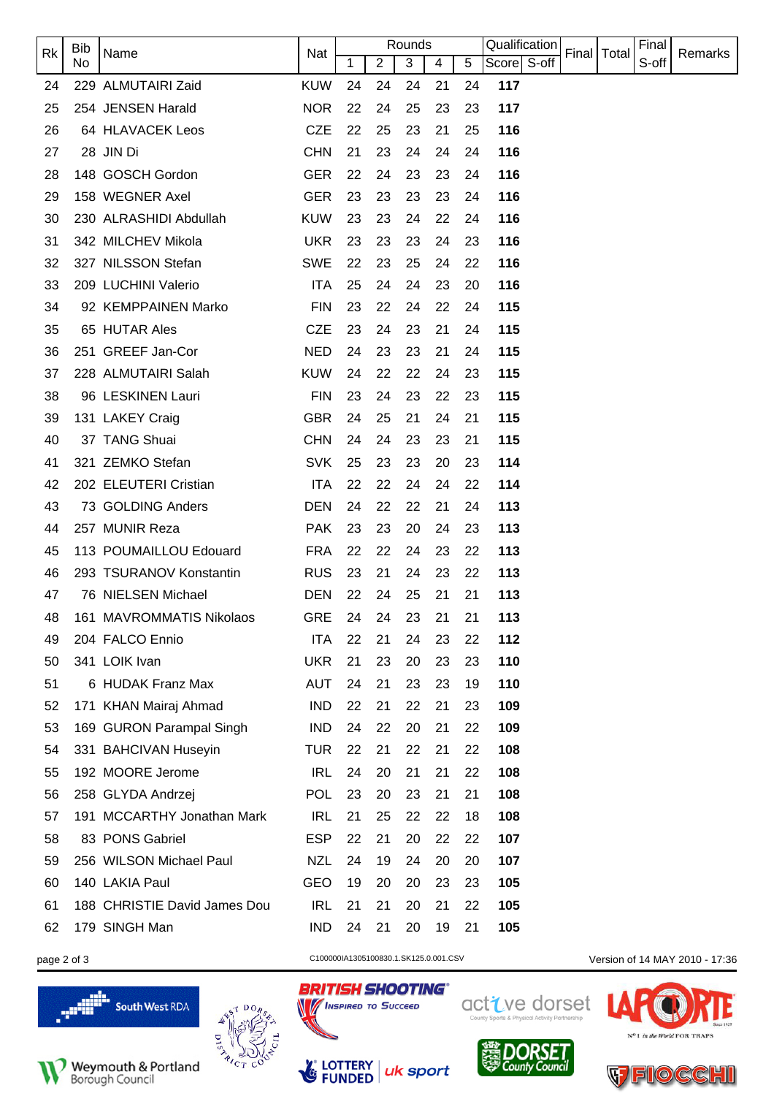| Rk                                                   | <b>Bib</b> | Name                         | <b>Nat</b> |    |                | Rounds |    |    | Qualification |  |               | Final |                                |
|------------------------------------------------------|------------|------------------------------|------------|----|----------------|--------|----|----|---------------|--|---------------|-------|--------------------------------|
|                                                      | No         |                              |            | 1  | $\overline{2}$ | 3      | 4  | 5  | Score S-off   |  | Final   Total | S-off | Remarks                        |
| 24                                                   |            | 229 ALMUTAIRI Zaid           | <b>KUW</b> | 24 | 24             | 24     | 21 | 24 | 117           |  |               |       |                                |
| 25                                                   |            | 254 JENSEN Harald            | <b>NOR</b> | 22 | 24             | 25     | 23 | 23 | 117           |  |               |       |                                |
| 26                                                   |            | 64 HLAVACEK Leos             | <b>CZE</b> | 22 | 25             | 23     | 21 | 25 | 116           |  |               |       |                                |
| 27                                                   |            | 28 JIN Di                    | <b>CHN</b> | 21 | 23             | 24     | 24 | 24 | 116           |  |               |       |                                |
| 28                                                   |            | 148 GOSCH Gordon             | <b>GER</b> | 22 | 24             | 23     | 23 | 24 | 116           |  |               |       |                                |
| 29                                                   |            | 158 WEGNER Axel              | <b>GER</b> | 23 | 23             | 23     | 23 | 24 | 116           |  |               |       |                                |
| 30                                                   |            | 230 ALRASHIDI Abdullah       | <b>KUW</b> | 23 | 23             | 24     | 22 | 24 | 116           |  |               |       |                                |
| 31                                                   |            | 342 MILCHEV Mikola           | <b>UKR</b> | 23 | 23             | 23     | 24 | 23 | 116           |  |               |       |                                |
| 32                                                   |            | 327 NILSSON Stefan           | <b>SWE</b> | 22 | 23             | 25     | 24 | 22 | 116           |  |               |       |                                |
| 33                                                   |            | 209 LUCHINI Valerio          | <b>ITA</b> | 25 | 24             | 24     | 23 | 20 | 116           |  |               |       |                                |
| 34                                                   |            | 92 KEMPPAINEN Marko          | <b>FIN</b> | 23 | 22             | 24     | 22 | 24 | 115           |  |               |       |                                |
| 35                                                   |            | 65 HUTAR Ales                | <b>CZE</b> | 23 | 24             | 23     | 21 | 24 | 115           |  |               |       |                                |
| 36                                                   |            | 251 GREEF Jan-Cor            | <b>NED</b> | 24 | 23             | 23     | 21 | 24 | 115           |  |               |       |                                |
| 37                                                   |            | 228 ALMUTAIRI Salah          | <b>KUW</b> | 24 | 22             | 22     | 24 | 23 | 115           |  |               |       |                                |
| 38                                                   |            | 96 LESKINEN Lauri            | <b>FIN</b> | 23 | 24             | 23     | 22 | 23 | 115           |  |               |       |                                |
| 39                                                   |            | 131 LAKEY Craig              | <b>GBR</b> | 24 | 25             | 21     | 24 | 21 | 115           |  |               |       |                                |
| 40                                                   |            | 37 TANG Shuai                | <b>CHN</b> | 24 | 24             | 23     | 23 | 21 | 115           |  |               |       |                                |
| 41                                                   |            | 321 ZEMKO Stefan             | <b>SVK</b> | 25 | 23             | 23     | 20 | 23 | 114           |  |               |       |                                |
| 42                                                   |            | 202 ELEUTERI Cristian        | <b>ITA</b> | 22 | 22             | 24     | 24 | 22 | 114           |  |               |       |                                |
| 43                                                   |            | 73 GOLDING Anders            | <b>DEN</b> | 24 | 22             | 22     | 21 | 24 | 113           |  |               |       |                                |
| 44                                                   |            | 257 MUNIR Reza               | <b>PAK</b> | 23 | 23             | 20     | 24 | 23 | 113           |  |               |       |                                |
| 45                                                   |            | 113 POUMAILLOU Edouard       | <b>FRA</b> | 22 | 22             | 24     | 23 | 22 | 113           |  |               |       |                                |
| 46                                                   |            | 293 TSURANOV Konstantin      | <b>RUS</b> | 23 | 21             | 24     | 23 | 22 | 113           |  |               |       |                                |
| 47                                                   |            | 76 NIELSEN Michael           | <b>DEN</b> | 22 | 24             | 25     | 21 | 21 | 113           |  |               |       |                                |
| 48                                                   |            | 161 MAVROMMATIS Nikolaos     | GRE 24     |    | 24             | 23     | 21 | 21 | 113           |  |               |       |                                |
| 49                                                   |            | 204 FALCO Ennio              | ITA        | 22 | 21             | 24     | 23 | 22 | 112           |  |               |       |                                |
| 50                                                   |            | 341 LOIK Ivan                | <b>UKR</b> | 21 | 23             | 20     | 23 | 23 | 110           |  |               |       |                                |
| 51                                                   |            | 6 HUDAK Franz Max            | <b>AUT</b> | 24 | 21             | 23     | 23 | 19 | 110           |  |               |       |                                |
| 52                                                   |            | 171 KHAN Mairaj Ahmad        | <b>IND</b> | 22 | 21             | 22     | 21 | 23 | 109           |  |               |       |                                |
| 53                                                   |            | 169 GURON Parampal Singh     | <b>IND</b> | 24 | 22             | 20     | 21 | 22 | 109           |  |               |       |                                |
| 54                                                   |            | 331 BAHCIVAN Huseyin         | <b>TUR</b> | 22 | 21             | 22     | 21 | 22 | 108           |  |               |       |                                |
| 55                                                   |            | 192 MOORE Jerome             | <b>IRL</b> | 24 | 20             | 21     | 21 | 22 | 108           |  |               |       |                                |
| 56                                                   |            | 258 GLYDA Andrzej            | <b>POL</b> | 23 | 20             | 23     | 21 | 21 | 108           |  |               |       |                                |
| 57                                                   |            | 191 MCCARTHY Jonathan Mark   | <b>IRL</b> | 21 | 25             | 22     | 22 | 18 | 108           |  |               |       |                                |
| 58                                                   |            | 83 PONS Gabriel              | <b>ESP</b> | 22 | 21             | 20     | 22 | 22 | 107           |  |               |       |                                |
| 59                                                   |            | 256 WILSON Michael Paul      | <b>NZL</b> | 24 | 19             | 24     | 20 | 20 | 107           |  |               |       |                                |
| 60                                                   |            | 140 LAKIA Paul               | GEO        | 19 | 20             | 20     | 23 | 23 | 105           |  |               |       |                                |
| 61                                                   |            | 188 CHRISTIE David James Dou | <b>IRL</b> | 21 | 21             | 20     | 21 | 22 | 105           |  |               |       |                                |
| 62                                                   |            | 179 SINGH Man                | <b>IND</b> | 24 | 21             | 20     | 19 | 21 | 105           |  |               |       |                                |
| C100000IA1305100830.1.SK125.0.001.CSV<br>page 2 of 3 |            |                              |            |    |                |        |    |    |               |  |               |       | Version of 14 MAY 2010 - 17:36 |

**BRITISH SHOOTING®** 

**MENSPIRED TO SUCCEED** 

LOTTERY<br>FUNDED

Les







active dorset



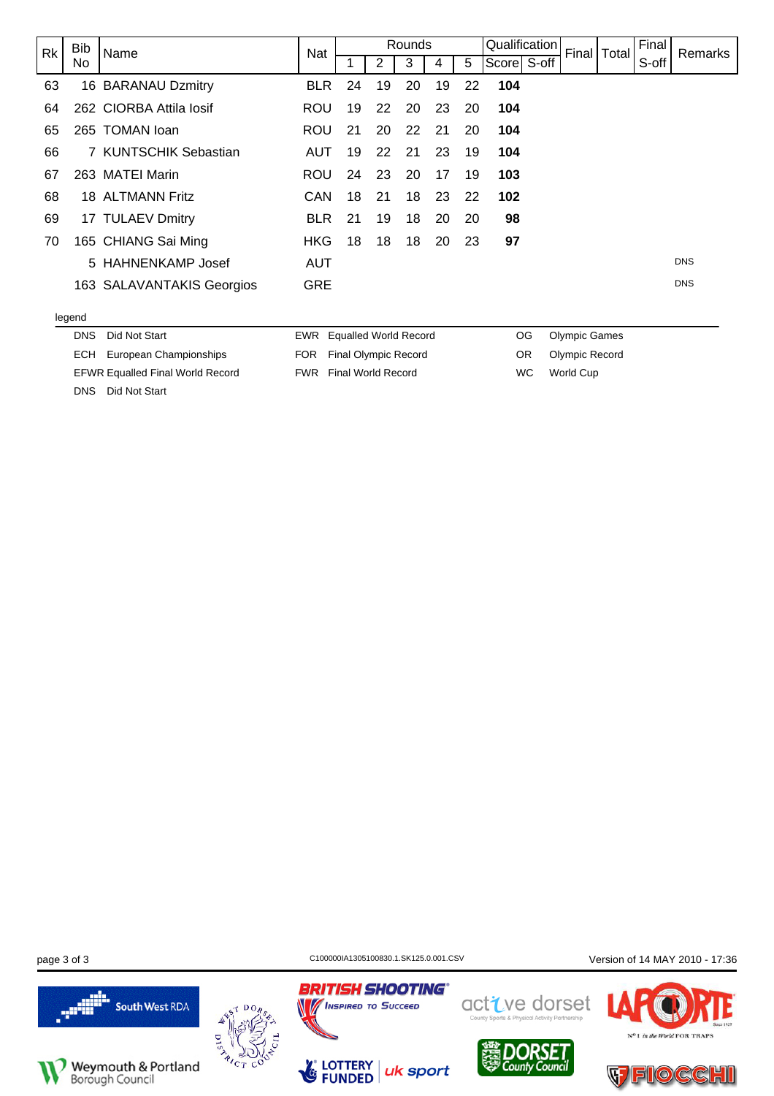| Rk | <b>Bib</b> | Name                      | Nat        |                              |    | Rounds |    |    | Qualification |     |                      | Final   Total | Final | Remarks    |
|----|------------|---------------------------|------------|------------------------------|----|--------|----|----|---------------|-----|----------------------|---------------|-------|------------|
|    | No.        |                           |            |                              | 2  | 3      | 4  | 5  | Score S-off   |     |                      |               | S-off |            |
| 63 |            | 16 BARANAU Dzmitry        | <b>BLR</b> | 24                           | 19 | 20     | 19 | 22 | 104           |     |                      |               |       |            |
| 64 |            | 262 CIORBA Attila losif   | <b>ROU</b> | 19                           | 22 | 20     | 23 | 20 | 104           |     |                      |               |       |            |
| 65 |            | 265 TOMAN loan            | <b>ROU</b> | 21                           | 20 | 22     | 21 | 20 | 104           |     |                      |               |       |            |
| 66 |            | 7 KUNTSCHIK Sebastian     | <b>AUT</b> | 19                           | 22 | 21     | 23 | 19 | 104           |     |                      |               |       |            |
| 67 |            | 263 MATEI Marin           | <b>ROU</b> | 24                           | 23 | 20     | 17 | 19 | 103           |     |                      |               |       |            |
| 68 |            | 18 ALTMANN Fritz          | CAN        | 18                           | 21 | 18     | 23 | 22 | 102           |     |                      |               |       |            |
| 69 |            | 17 TULAEV Dmitry          | <b>BLR</b> | 21                           | 19 | 18     | 20 | 20 | 98            |     |                      |               |       |            |
| 70 |            | 165 CHIANG Sai Ming       | <b>HKG</b> | 18                           | 18 | 18     | 20 | 23 | 97            |     |                      |               |       |            |
|    |            | 5 HAHNENKAMP Josef        | AUT        |                              |    |        |    |    |               |     |                      |               |       | <b>DNS</b> |
|    |            | 163 SALAVANTAKIS Georgios | <b>GRE</b> |                              |    |        |    |    |               |     |                      |               |       | <b>DNS</b> |
|    | legend     |                           |            |                              |    |        |    |    |               |     |                      |               |       |            |
|    | <b>DNS</b> | Did Not Start             | EWR        | <b>Equalled World Record</b> |    |        |    |    |               | OG  | <b>Olympic Games</b> |               |       |            |
|    | ECH        | European Championships    | <b>FOR</b> | <b>Final Olympic Record</b>  |    |        |    |    |               | OR. | Olympic Record       |               |       |            |

FWR Final World Record

EFWR Equalled Final World Record

DNS Did Not Start

page 3 of 3 C100000IA1305100830.1.SK125.0.001.CSV Version of 14 MAY 2010 - 17:36





active dorset

WC World Cup



in the World FOR TRAPS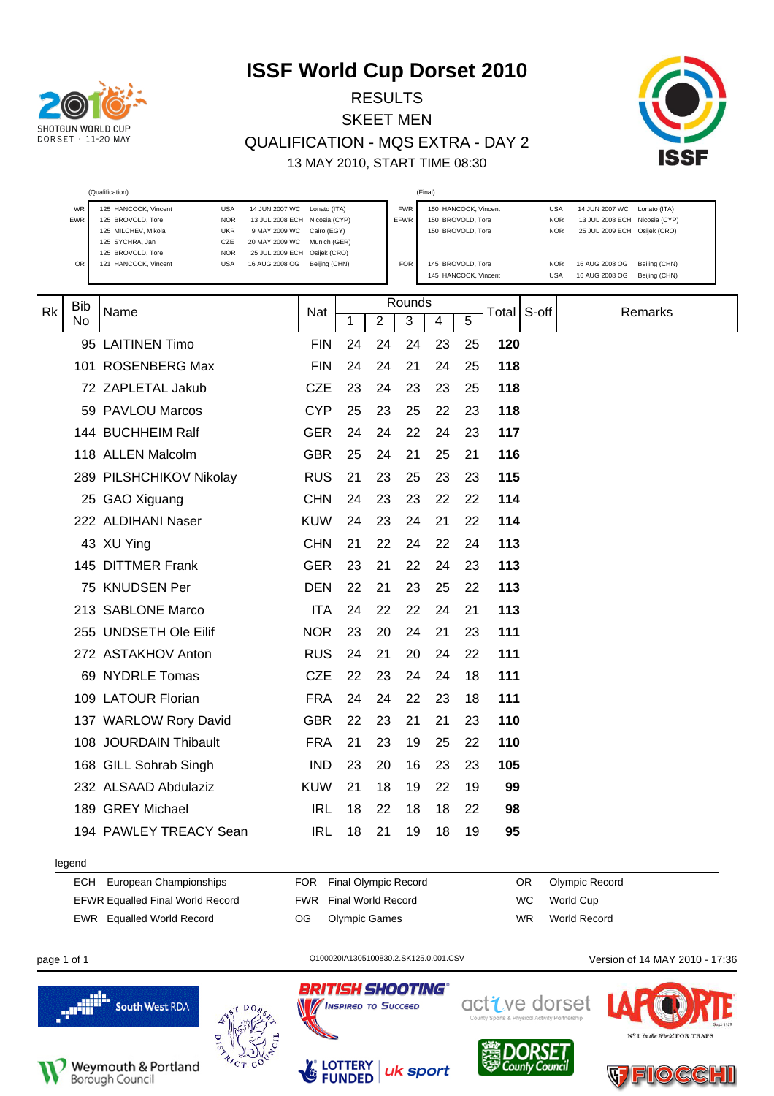

#### RESULTS SKEET MEN QUALIFICATION - MQS EXTRA - DAY 2 13 MAY 2010, START TIME 08:30



|    |            | (Qualification)                                                                                                                      |                                                                                                                                   |    |                |                           | (Final)                                                        |    |       |                                        |                                                                                              |                                |
|----|------------|--------------------------------------------------------------------------------------------------------------------------------------|-----------------------------------------------------------------------------------------------------------------------------------|----|----------------|---------------------------|----------------------------------------------------------------|----|-------|----------------------------------------|----------------------------------------------------------------------------------------------|--------------------------------|
|    | WR<br>EWR  | 125 HANCOCK, Vincent<br><b>USA</b><br>125 BROVOLD, Tore<br><b>NOR</b><br>125 MILCHEV, Mikola<br><b>UKR</b><br>125 SYCHRA, Jan<br>CZE | 14 JUN 2007 WC<br>Lonato (ITA)<br>13 JUL 2008 ECH Nicosia (CYP)<br>9 MAY 2009 WC<br>Cairo (EGY)<br>20 MAY 2009 WC<br>Munich (GER) |    |                | <b>FWR</b><br><b>EFWR</b> | 150 HANCOCK, Vincent<br>150 BROVOLD, Tore<br>150 BROVOLD, Tore |    |       | <b>USA</b><br><b>NOR</b><br><b>NOR</b> | 14 JUN 2007 WC Lonato (ITA)<br>13 JUL 2008 ECH Nicosia (CYP)<br>25 JUL 2009 ECH Osijek (CRO) |                                |
|    | OR         | 125 BROVOLD, Tore<br><b>NOR</b><br>121 HANCOCK, Vincent<br><b>USA</b>                                                                | 25 JUL 2009 ECH<br>Osijek (CRO)<br>16 AUG 2008 OG<br>Beijing (CHN)                                                                |    |                | <b>FOR</b>                | 145 BROVOLD, Tore<br>145 HANCOCK, Vincent                      |    |       | <b>NOR</b><br><b>USA</b>               | 16 AUG 2008 OG<br>16 AUG 2008 OG                                                             | Beijing (CHN)<br>Beijing (CHN) |
|    | <b>Bib</b> |                                                                                                                                      |                                                                                                                                   |    |                | Rounds                    |                                                                |    |       |                                        |                                                                                              |                                |
| Rk | No         | Name                                                                                                                                 | Nat                                                                                                                               | 1  | $\overline{2}$ | 3                         | 4                                                              | 5  | Total | S-off                                  |                                                                                              | Remarks                        |
|    |            | 95 LAITINEN Timo                                                                                                                     | <b>FIN</b>                                                                                                                        | 24 | 24             | 24                        | 23                                                             | 25 | 120   |                                        |                                                                                              |                                |
|    |            | 101 ROSENBERG Max                                                                                                                    | <b>FIN</b>                                                                                                                        | 24 | 24             | 21                        | 24                                                             | 25 | 118   |                                        |                                                                                              |                                |
|    |            | 72 ZAPLETAL Jakub                                                                                                                    | <b>CZE</b>                                                                                                                        | 23 | 24             | 23                        | 23                                                             | 25 | 118   |                                        |                                                                                              |                                |
|    |            | 59 PAVLOU Marcos                                                                                                                     | <b>CYP</b>                                                                                                                        | 25 | 23             | 25                        | 22                                                             | 23 | 118   |                                        |                                                                                              |                                |
|    |            | 144 BUCHHEIM Ralf                                                                                                                    | <b>GER</b>                                                                                                                        | 24 | 24             | 22                        | 24                                                             | 23 | 117   |                                        |                                                                                              |                                |
|    |            | 118 ALLEN Malcolm                                                                                                                    | <b>GBR</b>                                                                                                                        | 25 | 24             | 21                        | 25                                                             | 21 | 116   |                                        |                                                                                              |                                |
|    |            | 289 PILSHCHIKOV Nikolay                                                                                                              | <b>RUS</b>                                                                                                                        | 21 | 23             | 25                        | 23                                                             | 23 | 115   |                                        |                                                                                              |                                |
|    |            | 25 GAO Xiguang                                                                                                                       | <b>CHN</b>                                                                                                                        | 24 | 23             | 23                        | 22                                                             | 22 | 114   |                                        |                                                                                              |                                |
|    |            | 222 ALDIHANI Naser                                                                                                                   | <b>KUW</b>                                                                                                                        | 24 | 23             | 24                        | 21                                                             | 22 | 114   |                                        |                                                                                              |                                |
|    |            | 43 XU Ying                                                                                                                           | <b>CHN</b>                                                                                                                        | 21 | 22             | 24                        | 22                                                             | 24 | 113   |                                        |                                                                                              |                                |
|    |            | 145 DITTMER Frank                                                                                                                    | <b>GER</b>                                                                                                                        | 23 | 21             | 22                        | 24                                                             | 23 | 113   |                                        |                                                                                              |                                |
|    |            | 75 KNUDSEN Per                                                                                                                       | <b>DEN</b>                                                                                                                        | 22 | 21             | 23                        | 25                                                             | 22 | 113   |                                        |                                                                                              |                                |
|    |            | 213 SABLONE Marco                                                                                                                    | <b>ITA</b>                                                                                                                        | 24 | 22             | 22                        | 24                                                             | 21 | 113   |                                        |                                                                                              |                                |
|    |            | 255 UNDSETH Ole Eilif                                                                                                                | <b>NOR</b>                                                                                                                        | 23 | 20             | 24                        | 21                                                             | 23 | 111   |                                        |                                                                                              |                                |
|    |            | 272 ASTAKHOV Anton                                                                                                                   | <b>RUS</b>                                                                                                                        | 24 | 21             | 20                        | 24                                                             | 22 | 111   |                                        |                                                                                              |                                |
|    |            | 69 NYDRLE Tomas                                                                                                                      | <b>CZE</b>                                                                                                                        | 22 | 23             | 24                        | 24                                                             | 18 | 111   |                                        |                                                                                              |                                |
|    |            | 109 LATOUR Florian                                                                                                                   | <b>FRA</b>                                                                                                                        | 24 | 24             | 22                        | 23                                                             | 18 | 111   |                                        |                                                                                              |                                |
|    |            | 137 WARLOW Rory David                                                                                                                | <b>GBR</b>                                                                                                                        | 22 | 23             | 21                        | 21                                                             | 23 | 110   |                                        |                                                                                              |                                |
|    |            | 108 JOURDAIN Thibault                                                                                                                | <b>FRA</b>                                                                                                                        | 21 | 23             | 19                        | 25                                                             | 22 | 110   |                                        |                                                                                              |                                |
|    |            | 168 GILL Sohrab Singh                                                                                                                | IND                                                                                                                               | 23 | 20             | 16                        | 23                                                             | 23 | 105   |                                        |                                                                                              |                                |
|    |            | 232 ALSAAD Abdulaziz                                                                                                                 | <b>KUW</b>                                                                                                                        | 21 | 18             | 19                        | 22                                                             | 19 | 99    |                                        |                                                                                              |                                |
|    |            | 189 GREY Michael                                                                                                                     | <b>IRL</b>                                                                                                                        | 18 | 22             | 18                        | 18                                                             | 22 | 98    |                                        |                                                                                              |                                |
|    |            | 194 PAWLEY TREACY Sean                                                                                                               | <b>IRL</b>                                                                                                                        | 18 | 21             | 19                        | 18                                                             | 19 | 95    |                                        |                                                                                              |                                |
|    | legend     |                                                                                                                                      |                                                                                                                                   |    |                |                           |                                                                |    |       |                                        |                                                                                              |                                |
|    | ECH        | European Championships                                                                                                               | FOR Final Olympic Record                                                                                                          |    |                |                           |                                                                |    |       | OR.                                    | Olympic Record                                                                               |                                |

EFWR Equalled Final World Record EWR Equalled World Record

FWR Final World Record OG Olympic Games

WC World Cup WR World Record







uk sport

**BRITISH SHOOTING®** 

**MINSPIRED TO SUCCEED** 

**LOTTERY**<br>**FUNDED** 

N

La



FIOCCI

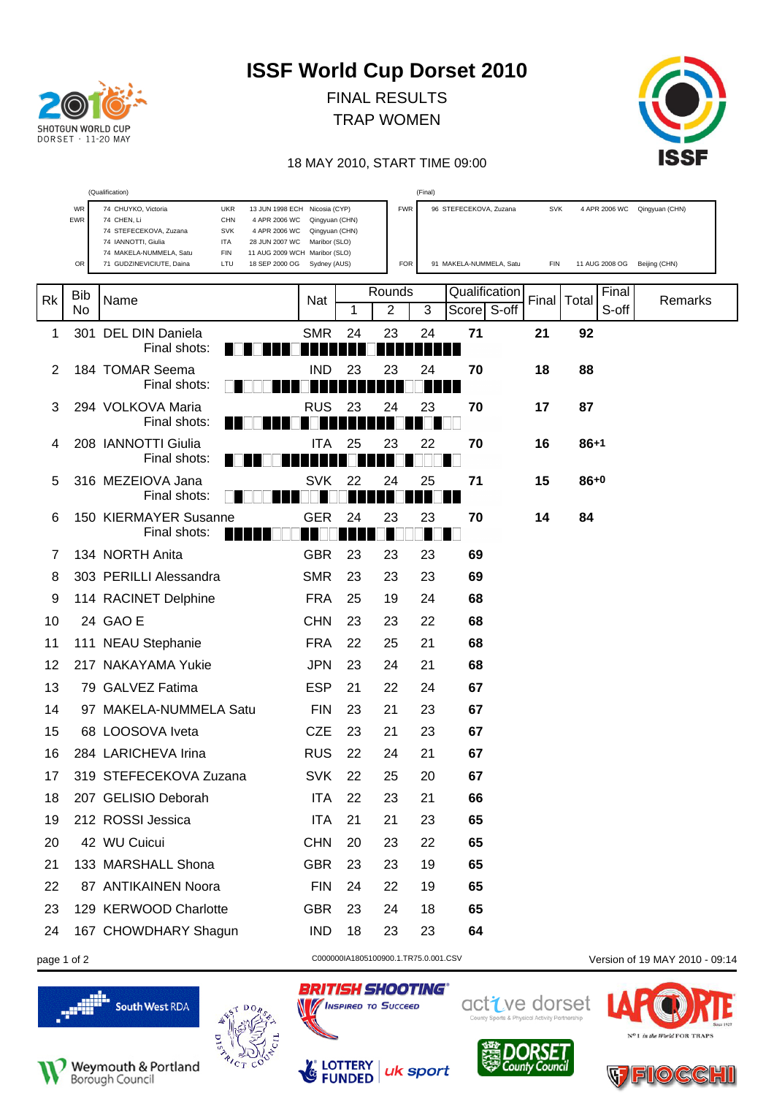

FINAL RESULTS TRAP WOMEN



#### 18 MAY 2010, START TIME 09:00

|    |                         | (Qualification)                                                                                                      |                                 |    |                | (Final)    |                         |            |                              |                              |
|----|-------------------------|----------------------------------------------------------------------------------------------------------------------|---------------------------------|----|----------------|------------|-------------------------|------------|------------------------------|------------------------------|
|    | <b>WR</b><br><b>EWR</b> | 74 CHUYKO, Victoria<br><b>UKR</b><br>13 JUN 1998 ECH Nicosia (CYP)<br>74 CHEN, Li<br><b>CHN</b><br>4 APR 2006 WC     | Qingyuan (CHN)                  |    |                | <b>FWR</b> | 96 STEFECEKOVA, Zuzana  | SVK        |                              | 4 APR 2006 WC Qingyuan (CHN) |
|    |                         | 74 STEFECEKOVA, Zuzana<br><b>SVK</b><br>4 APR 2006 WC<br>74 IANNOTTI, Giulia<br><b>ITA</b><br>28 JUN 2007 WC         | Qingyuan (CHN)<br>Maribor (SLO) |    |                |            |                         |            |                              |                              |
|    | OR                      | 74 MAKELA-NUMMELA, Satu<br>FIN<br>11 AUG 2009 WCH Maribor (SLO)<br>71 GUDZINEVICIUTE, Daina<br>LTU<br>18 SEP 2000 OG | Sydney (AUS)                    |    |                | <b>FOR</b> | 91 MAKELA-NUMMELA, Satu | <b>FIN</b> | 11 AUG 2008 OG Beijing (CHN) |                              |
|    |                         |                                                                                                                      |                                 |    |                |            |                         |            |                              |                              |
| Rk | <b>Bib</b>              | Name                                                                                                                 | Nat                             |    | Rounds         |            | Qualification           | Final      | Final<br>Total               | Remarks                      |
|    | No                      |                                                                                                                      |                                 | 1  | $\overline{2}$ | 3          | Score S-off             |            | S-off                        |                              |
| 1  |                         | 301 DEL DIN Daniela<br>Final shots:                                                                                  | <b>SMR</b>                      | 24 | 23             | 24         | 71                      | 21         | 92                           |                              |
| 2  |                         | 184 TOMAR Seema                                                                                                      | <b>IND</b>                      | 23 | 23             | 24         | 70                      | 18         | 88                           |                              |
|    |                         | Final shots:                                                                                                         |                                 |    |                |            |                         |            |                              |                              |
| 3  |                         | 294 VOLKOVA Maria                                                                                                    | RUS                             | 23 | 24             | 23         | 70                      | 17         | 87                           |                              |
|    |                         | Final shots:                                                                                                         |                                 |    |                |            |                         |            |                              |                              |
| 4  |                         | 208 IANNOTTI Giulia                                                                                                  | ITA                             | 25 | 23             | 22         | 70                      | 16         | $86+1$                       |                              |
|    |                         | Final shots:                                                                                                         |                                 |    |                |            |                         |            |                              |                              |
| 5  |                         | 316 MEZEIOVA Jana<br>Final shots:                                                                                    | SVK                             | 22 | 24             | 25         | 71                      | 15         | $86+0$                       |                              |
| 6  |                         | 150 KIERMAYER Susanne                                                                                                | <b>GER</b>                      | 24 | 23             | 23         | 70                      | 14         | 84                           |                              |
|    |                         | Final shots:                                                                                                         |                                 |    |                |            |                         |            |                              |                              |
| 7  |                         | 134 NORTH Anita                                                                                                      | <b>GBR</b>                      | 23 | 23             | 23         | 69                      |            |                              |                              |
| 8  |                         | 303 PERILLI Alessandra                                                                                               | <b>SMR</b>                      | 23 | 23             | 23         | 69                      |            |                              |                              |
| 9  |                         | 114 RACINET Delphine                                                                                                 | <b>FRA</b>                      | 25 | 19             | 24         | 68                      |            |                              |                              |
| 10 |                         | 24 GAO E                                                                                                             | <b>CHN</b>                      | 23 | 23             | 22         | 68                      |            |                              |                              |
| 11 |                         | 111 NEAU Stephanie                                                                                                   | <b>FRA</b>                      | 22 | 25             | 21         | 68                      |            |                              |                              |
| 12 |                         | 217 NAKAYAMA Yukie                                                                                                   | <b>JPN</b>                      | 23 | 24             | 21         | 68                      |            |                              |                              |
| 13 |                         | 79 GALVEZ Fatima                                                                                                     | <b>ESP</b>                      | 21 | 22             | 24         | 67                      |            |                              |                              |
| 14 |                         | 97 MAKELA-NUMMELA Satu                                                                                               | <b>FIN</b>                      | 23 | 21             | 23         | 67                      |            |                              |                              |
| 15 |                         | 68 LOOSOVA Iveta                                                                                                     | <b>CZE</b>                      | 23 | 21             | 23         | 67                      |            |                              |                              |
| 16 |                         | 284 LARICHEVA Irina                                                                                                  | <b>RUS</b>                      | 22 | 24             | 21         | 67                      |            |                              |                              |
| 17 |                         | 319 STEFECEKOVA Zuzana                                                                                               | <b>SVK</b>                      | 22 | 25             | 20         | 67                      |            |                              |                              |
| 18 |                         | 207 GELISIO Deborah                                                                                                  | <b>ITA</b>                      | 22 | 23             | 21         | 66                      |            |                              |                              |
| 19 |                         | 212 ROSSI Jessica                                                                                                    | <b>ITA</b>                      | 21 | 21             | 23         | 65                      |            |                              |                              |
| 20 |                         | 42 WU Cuicui                                                                                                         | <b>CHN</b>                      | 20 | 23             | 22         | 65                      |            |                              |                              |
| 21 |                         | 133 MARSHALL Shona                                                                                                   | <b>GBR</b>                      | 23 | 23             | 19         | 65                      |            |                              |                              |
| 22 |                         | 87 ANTIKAINEN Noora                                                                                                  | <b>FIN</b>                      | 24 | 22             | 19         | 65                      |            |                              |                              |
| 23 |                         | 129 KERWOOD Charlotte                                                                                                | <b>GBR</b>                      | 23 | 24             | 18         | 65                      |            |                              |                              |
| 24 |                         | 167 CHOWDHARY Shagun                                                                                                 | <b>IND</b>                      | 18 | 23             | 23         | 64                      |            |                              |                              |
|    |                         |                                                                                                                      |                                 |    |                |            |                         |            |                              |                              |







uk sport

**BRITISH SHOOTING®** 

**No / INSPIRED TO SUCCEED** 

LOTTERY<br>FUNDED

 $\mathcal{L}_{\mathcal{C}}$ 

page 1 of 2 C000000141805100900.1.TR75.0.001.CSV Version of 19 MAY 2010 - 09:14



 $C_{\text{OUE}}$ 

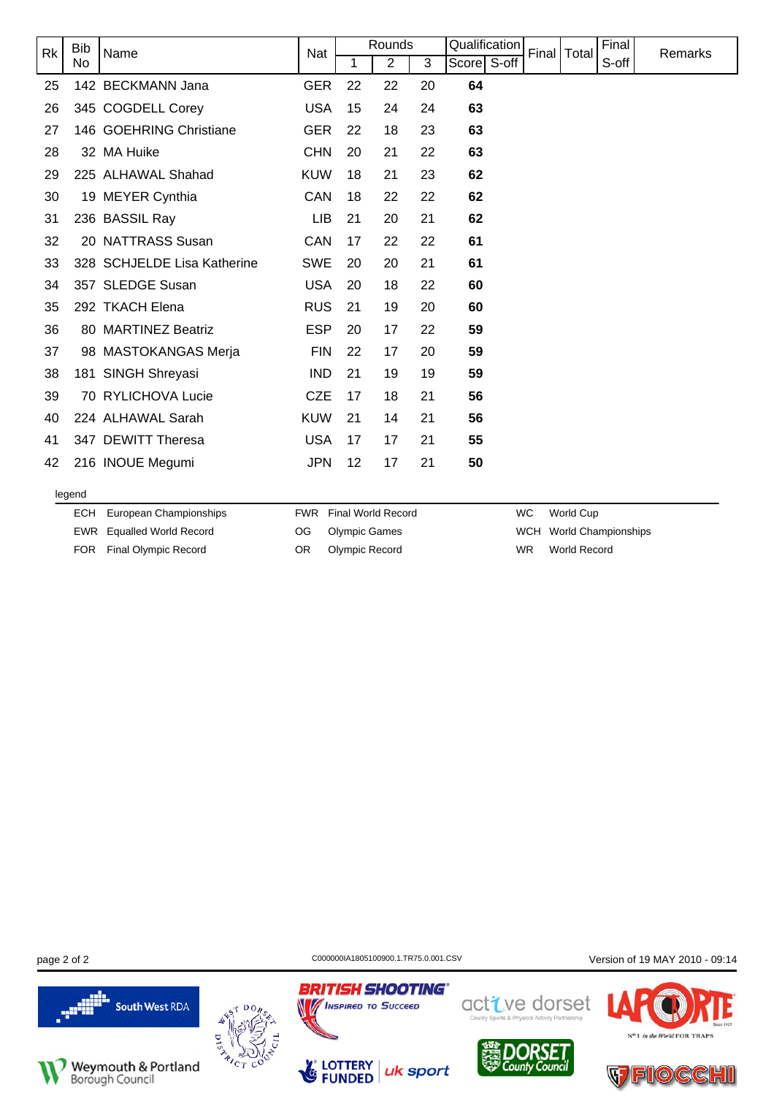| <b>Rk</b> | <b>Bib</b><br>Name |                             | Nat        |    | Rounds |    | Qualification | Final | Total | Final | Remarks |
|-----------|--------------------|-----------------------------|------------|----|--------|----|---------------|-------|-------|-------|---------|
|           | No                 |                             |            | 1  | 2      | 3  | Score S-off   |       |       | S-off |         |
| 25        |                    | 142 BECKMANN Jana           | <b>GER</b> | 22 | 22     | 20 | 64            |       |       |       |         |
| 26        |                    | 345 COGDELL Corey           | <b>USA</b> | 15 | 24     | 24 | 63            |       |       |       |         |
| 27        |                    | 146 GOEHRING Christiane     | <b>GER</b> | 22 | 18     | 23 | 63            |       |       |       |         |
| 28        |                    | 32 MA Huike                 | <b>CHN</b> | 20 | 21     | 22 | 63            |       |       |       |         |
| 29        |                    | 225 ALHAWAL Shahad          | <b>KUW</b> | 18 | 21     | 23 | 62            |       |       |       |         |
| 30        |                    | 19 MEYER Cynthia            | CAN        | 18 | 22     | 22 | 62            |       |       |       |         |
| 31        |                    | 236 BASSIL Ray              | LIB        | 21 | 20     | 21 | 62            |       |       |       |         |
| 32        |                    | 20 NATTRASS Susan           | CAN        | 17 | 22     | 22 | 61            |       |       |       |         |
| 33        |                    | 328 SCHJELDE Lisa Katherine | <b>SWE</b> | 20 | 20     | 21 | 61            |       |       |       |         |
| 34        |                    | 357 SLEDGE Susan            | <b>USA</b> | 20 | 18     | 22 | 60            |       |       |       |         |
| 35        |                    | 292 TKACH Elena             | <b>RUS</b> | 21 | 19     | 20 | 60            |       |       |       |         |
| 36        |                    | 80 MARTINEZ Beatriz         | <b>ESP</b> | 20 | 17     | 22 | 59            |       |       |       |         |
| 37        |                    | 98 MASTOKANGAS Merja        | <b>FIN</b> | 22 | 17     | 20 | 59            |       |       |       |         |
| 38        |                    | 181 SINGH Shreyasi          | <b>IND</b> | 21 | 19     | 19 | 59            |       |       |       |         |
| 39        |                    | 70 RYLICHOVA Lucie          | <b>CZE</b> | 17 | 18     | 21 | 56            |       |       |       |         |
| 40        |                    | 224 ALHAWAL Sarah           | <b>KUW</b> | 21 | 14     | 21 | 56            |       |       |       |         |
| 41        |                    | 347 DEWITT Theresa          | <b>USA</b> | 17 | 17     | 21 | 55            |       |       |       |         |
| 42        |                    | 216 INOUE Megumi            | <b>JPN</b> | 12 | 17     | 21 | 50            |       |       |       |         |
|           | legend             |                             |            |    |        |    |               |       |       |       |         |

|  | ECH European Championships | <b>FWR</b> Final World Record | WC. | World Cup               |
|--|----------------------------|-------------------------------|-----|-------------------------|
|  | EWR Equalled World Record  | OG Olympic Games              |     | WCH World Championships |
|  | FOR Final Olympic Record   | OR Olympic Record             | WR. | World Record            |

**BRITISH SHOOTING®** 

**MENSPIRED TO SUCCEED** 

Les

page 2 of 2 C000000141805100900.1.TR75.0.001.CSV Version of 19 MAY 2010 - 09:14





LOTTERY<br>FUNDED uk sport



active dorset



N<sup>o</sup>1 in the World FOR TRAPS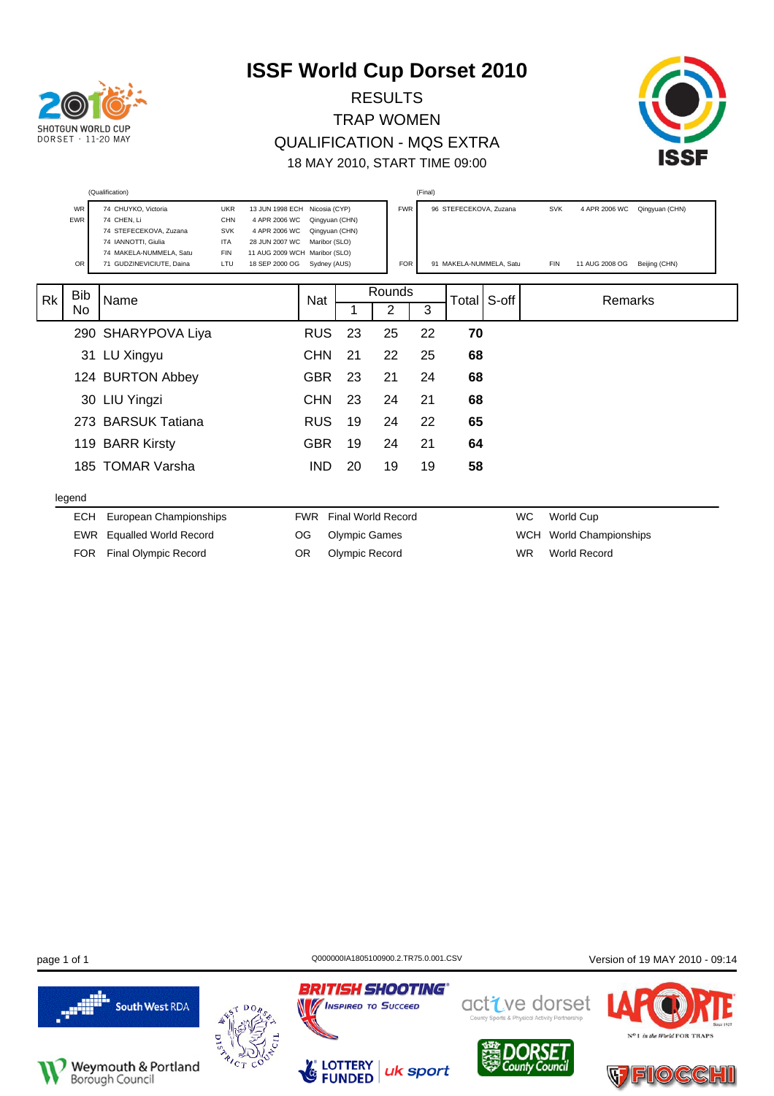

RESULTS TRAP WOMEN QUALIFICATION - MQS EXTRA 18 MAY 2010, START TIME 09:00



|           |                               | (Qualification)                                                                                                                                                                                                  |                                                                                                          |            |                                                                                                     |    |                           | (Final)    |                                                   |           |                   |                                 |         |                                 |  |
|-----------|-------------------------------|------------------------------------------------------------------------------------------------------------------------------------------------------------------------------------------------------------------|----------------------------------------------------------------------------------------------------------|------------|-----------------------------------------------------------------------------------------------------|----|---------------------------|------------|---------------------------------------------------|-----------|-------------------|---------------------------------|---------|---------------------------------|--|
|           | <b>WR</b><br><b>EWR</b><br>OR | 74 CHUYKO, Victoria<br><b>UKR</b><br>74 CHEN, Li<br>CHN<br>74 STEFECEKOVA, Zuzana<br><b>SVK</b><br>74 IANNOTTI, Giulia<br><b>ITA</b><br>74 MAKELA-NUMMELA, Satu<br><b>FIN</b><br>71 GUDZINEVICIUTE, Daina<br>LTU | 13 JUN 1998 ECH<br>4 APR 2006 WC<br>4 APR 2006 WC<br>28 JUN 2007 WC<br>11 AUG 2009 WCH<br>18 SEP 2000 OG |            | Nicosia (CYP)<br>Qingyuan (CHN)<br>Qingyuan (CHN)<br>Maribor (SLO)<br>Maribor (SLO)<br>Sydney (AUS) |    | <b>FWR</b>                | <b>FOR</b> | 96 STEFECEKOVA, Zuzana<br>91 MAKELA-NUMMELA, Satu |           | SVK<br><b>FIN</b> | 4 APR 2006 WC<br>11 AUG 2008 OG |         | Qingyuan (CHN)<br>Beijing (CHN) |  |
| <b>Rk</b> | <b>Bib</b><br>No              | Name                                                                                                                                                                                                             |                                                                                                          | Nat        |                                                                                                     | 1  | Rounds<br>2               | 3          | Total S-off                                       |           |                   |                                 | Remarks |                                 |  |
|           |                               | 290 SHARYPOVA Liya                                                                                                                                                                                               |                                                                                                          | <b>RUS</b> |                                                                                                     | 23 | 25                        | 22         | 70                                                |           |                   |                                 |         |                                 |  |
|           |                               | 31 LU Xingyu                                                                                                                                                                                                     |                                                                                                          | <b>CHN</b> | 21                                                                                                  |    | 22                        | 25         | 68                                                |           |                   |                                 |         |                                 |  |
|           |                               | 124 BURTON Abbey                                                                                                                                                                                                 |                                                                                                          | <b>GBR</b> |                                                                                                     | 23 | 21                        | 24         | 68                                                |           |                   |                                 |         |                                 |  |
|           |                               | 30 LIU Yingzi                                                                                                                                                                                                    |                                                                                                          | <b>CHN</b> |                                                                                                     | 23 | 24                        | 21         | 68                                                |           |                   |                                 |         |                                 |  |
|           |                               | 273 BARSUK Tatiana                                                                                                                                                                                               |                                                                                                          | <b>RUS</b> |                                                                                                     | 19 | 24                        | 22         | 65                                                |           |                   |                                 |         |                                 |  |
|           |                               | 119 BARR Kirsty                                                                                                                                                                                                  |                                                                                                          | <b>GBR</b> |                                                                                                     | 19 | 24                        | 21         | 64                                                |           |                   |                                 |         |                                 |  |
|           |                               | 185 TOMAR Varsha                                                                                                                                                                                                 |                                                                                                          | <b>IND</b> |                                                                                                     | 20 | 19                        | 19         | 58                                                |           |                   |                                 |         |                                 |  |
|           | legend                        |                                                                                                                                                                                                                  |                                                                                                          |            |                                                                                                     |    |                           |            |                                                   |           |                   |                                 |         |                                 |  |
|           | <b>ECH</b>                    | European Championships                                                                                                                                                                                           |                                                                                                          | <b>FWR</b> |                                                                                                     |    | <b>Final World Record</b> |            |                                                   | WC        |                   | World Cup                       |         |                                 |  |
|           | EWR                           | <b>Equalled World Record</b>                                                                                                                                                                                     |                                                                                                          | OG         | <b>Olympic Games</b>                                                                                |    |                           |            |                                                   | WCH       |                   | World Championships             |         |                                 |  |
|           | <b>FOR</b>                    | <b>Final Olympic Record</b>                                                                                                                                                                                      |                                                                                                          | <b>OR</b>  | Olympic Record                                                                                      |    |                           |            |                                                   | <b>WR</b> |                   | <b>World Record</b>             |         |                                 |  |

page 1 of 1 **Detail CONFIDENT CONCOOL** CO000001A1805100900.2.TR75.0.001.CSV Version of 19 MAY 2010 - 09:14





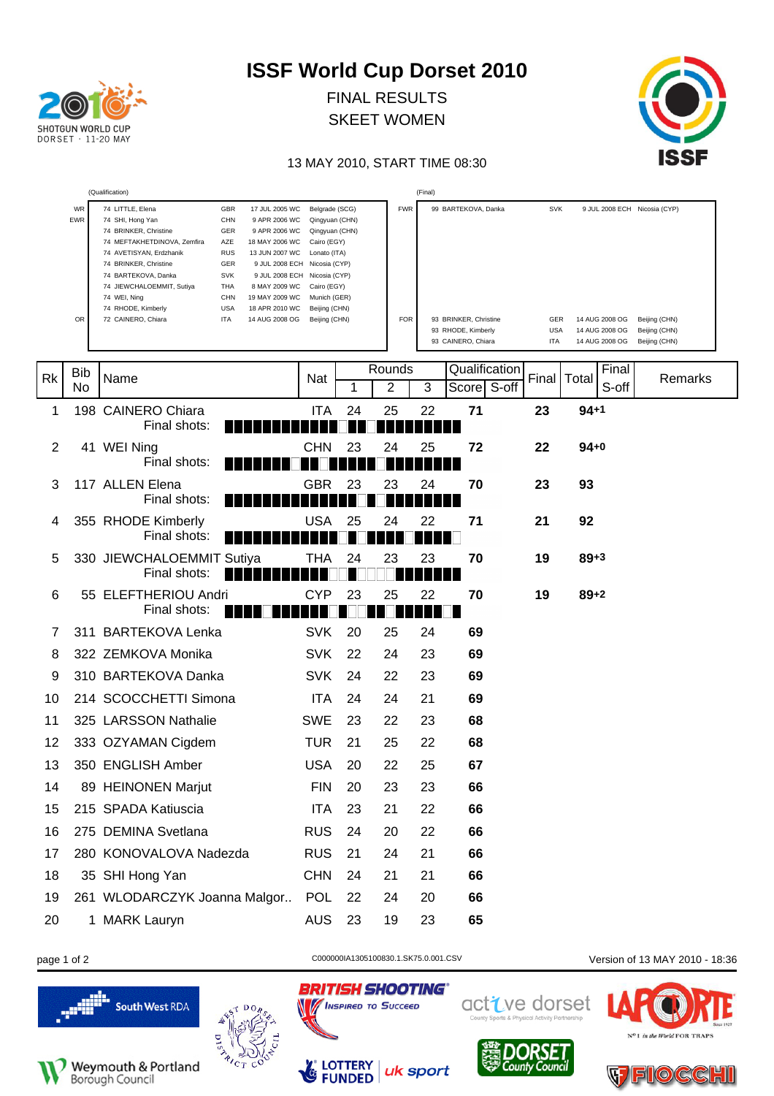| <b>SHOTGUN WORLD CUP</b><br>$DORSFT + 11-20$ MAY |
|--------------------------------------------------|

FINAL RESULTS SKEET WOMEN



#### 13 MAY 2010, START TIME 08:30

|                |                 | (Qualification)                                                                                                                                                                                                                                                                                                                                                                                                                                                                                                                                                                            |                                                                                                                                                                                      |    |                          | (Final) |                                                                                          |                                               |                                                                                    |                                                 |
|----------------|-----------------|--------------------------------------------------------------------------------------------------------------------------------------------------------------------------------------------------------------------------------------------------------------------------------------------------------------------------------------------------------------------------------------------------------------------------------------------------------------------------------------------------------------------------------------------------------------------------------------------|--------------------------------------------------------------------------------------------------------------------------------------------------------------------------------------|----|--------------------------|---------|------------------------------------------------------------------------------------------|-----------------------------------------------|------------------------------------------------------------------------------------|-------------------------------------------------|
|                | WR<br>EWR<br>OR | 74 LITTLE, Elena<br>GBR<br>17 JUL 2005 WC<br><b>CHN</b><br>74 SHI, Hong Yan<br>9 APR 2006 WC<br>74 BRINKER, Christine<br>GER<br>9 APR 2006 WC<br>74 MEFTAKHETDINOVA, Zemfira<br>AZE<br>18 MAY 2006 WC<br>74 AVETISYAN, Erdzhanik<br><b>RUS</b><br>13 JUN 2007 WC<br>74 BRINKER, Christine<br>GER<br>9 JUL 2008 ECH<br>74 BARTEKOVA, Danka<br><b>SVK</b><br>9 JUL 2008 ECH<br>74 JIEWCHALOEMMIT, Sutiya<br>THA<br>8 MAY 2009 WC<br><b>CHN</b><br>19 MAY 2009 WC<br>74 WEI, Ning<br>74 RHODE, Kimberly<br><b>USA</b><br>18 APR 2010 WC<br>72 CAINERO, Chiara<br><b>ITA</b><br>14 AUG 2008 OG | Belgrade (SCG)<br>Qingyuan (CHN)<br>Qingyuan (CHN)<br>Cairo (EGY)<br>Lonato (ITA)<br>Nicosia (CYP)<br>Nicosia (CYP)<br>Cairo (EGY)<br>Munich (GER)<br>Beijing (CHN)<br>Beijing (CHN) |    | <b>FWR</b><br><b>FOR</b> |         | 99 BARTEKOVA, Danka<br>93 BRINKER, Christine<br>93 RHODE, Kimberly<br>93 CAINERO, Chiara | <b>SVK</b><br>GER<br><b>USA</b><br><b>ITA</b> | 9 JUL 2008 ECH Nicosia (CYP)<br>14 AUG 2008 OG<br>14 AUG 2008 OG<br>14 AUG 2008 OG | Beijing (CHN)<br>Beijing (CHN)<br>Beijing (CHN) |
| Rk             | Bib             | Name                                                                                                                                                                                                                                                                                                                                                                                                                                                                                                                                                                                       | Nat                                                                                                                                                                                  |    | Rounds                   |         | Qualification                                                                            |                                               | Final<br>Final   Total                                                             | Remarks                                         |
|                | No              |                                                                                                                                                                                                                                                                                                                                                                                                                                                                                                                                                                                            |                                                                                                                                                                                      | 1  | $\overline{2}$           | 3       | Score S-off                                                                              |                                               | S-off                                                                              |                                                 |
| 1              |                 | 198 CAINERO Chiara<br>Final shots:                                                                                                                                                                                                                                                                                                                                                                                                                                                                                                                                                         | <b>ITA</b>                                                                                                                                                                           | 24 | 25                       | 22      | 71                                                                                       | 23                                            | $94 + 1$                                                                           |                                                 |
| $\overline{2}$ |                 | 41 WEI Ning<br>Final shots:                                                                                                                                                                                                                                                                                                                                                                                                                                                                                                                                                                | <b>CHN</b>                                                                                                                                                                           | 23 | 24                       | 25      | 72                                                                                       | 22                                            | $94+0$                                                                             |                                                 |
| 3              |                 | 117 ALLEN Elena<br>Final shots:                                                                                                                                                                                                                                                                                                                                                                                                                                                                                                                                                            | GBR                                                                                                                                                                                  | 23 | 23                       | 24      | 70                                                                                       | 23                                            | 93                                                                                 |                                                 |
| 4              |                 | 355 RHODE Kimberly<br>Final shots:                                                                                                                                                                                                                                                                                                                                                                                                                                                                                                                                                         | USA                                                                                                                                                                                  | 25 | 24                       | 22      | 71                                                                                       | 21                                            | 92                                                                                 |                                                 |
| 5              |                 | 330 JIEWCHALOEMMIT Sutiya<br>Final shots:<br>H H                                                                                                                                                                                                                                                                                                                                                                                                                                                                                                                                           | THA                                                                                                                                                                                  | 24 | 23                       | 23      | 70                                                                                       | 19                                            | $89 + 3$                                                                           |                                                 |
| 6              |                 | 55 ELEFTHERIOU Andri<br>Final shots:                                                                                                                                                                                                                                                                                                                                                                                                                                                                                                                                                       | <b>CYP</b>                                                                                                                                                                           | 23 | 25                       | 22      | 70                                                                                       | 19                                            | $89 + 2$                                                                           |                                                 |
| 7              |                 | 311 BARTEKOVA Lenka                                                                                                                                                                                                                                                                                                                                                                                                                                                                                                                                                                        | <b>SVK</b>                                                                                                                                                                           | 20 | 25                       | 24      | 69                                                                                       |                                               |                                                                                    |                                                 |
| 8              |                 | 322 ZEMKOVA Monika                                                                                                                                                                                                                                                                                                                                                                                                                                                                                                                                                                         | <b>SVK</b>                                                                                                                                                                           | 22 | 24                       | 23      | 69                                                                                       |                                               |                                                                                    |                                                 |
| 9              |                 | 310 BARTEKOVA Danka                                                                                                                                                                                                                                                                                                                                                                                                                                                                                                                                                                        | <b>SVK</b>                                                                                                                                                                           | 24 | 22                       | 23      | 69                                                                                       |                                               |                                                                                    |                                                 |
| 10             |                 | 214 SCOCCHETTI Simona                                                                                                                                                                                                                                                                                                                                                                                                                                                                                                                                                                      | <b>ITA</b>                                                                                                                                                                           | 24 | 24                       | 21      | 69                                                                                       |                                               |                                                                                    |                                                 |
| 11             |                 | 325 LARSSON Nathalie                                                                                                                                                                                                                                                                                                                                                                                                                                                                                                                                                                       | <b>SWE</b>                                                                                                                                                                           | 23 | 22                       | 23      | 68                                                                                       |                                               |                                                                                    |                                                 |
| 12             |                 | 333 OZYAMAN Cigdem                                                                                                                                                                                                                                                                                                                                                                                                                                                                                                                                                                         | <b>TUR</b>                                                                                                                                                                           | 21 | 25                       | 22      | 68                                                                                       |                                               |                                                                                    |                                                 |
| 13             |                 | 350 ENGLISH Amber                                                                                                                                                                                                                                                                                                                                                                                                                                                                                                                                                                          | <b>USA</b>                                                                                                                                                                           | 20 | 22                       | 25      | 67                                                                                       |                                               |                                                                                    |                                                 |
| 14             |                 | 89 HEINONEN Marjut                                                                                                                                                                                                                                                                                                                                                                                                                                                                                                                                                                         | <b>FIN</b>                                                                                                                                                                           | 20 | 23                       | 23      | 66                                                                                       |                                               |                                                                                    |                                                 |
| 15             |                 | 215 SPADA Katiuscia                                                                                                                                                                                                                                                                                                                                                                                                                                                                                                                                                                        | <b>ITA</b>                                                                                                                                                                           | 23 | 21                       | 22      | 66                                                                                       |                                               |                                                                                    |                                                 |
| 16             |                 | 275 DEMINA Svetlana                                                                                                                                                                                                                                                                                                                                                                                                                                                                                                                                                                        | <b>RUS</b>                                                                                                                                                                           | 24 | 20                       | 22      | 66                                                                                       |                                               |                                                                                    |                                                 |
| 17             |                 | 280 KONOVALOVA Nadezda                                                                                                                                                                                                                                                                                                                                                                                                                                                                                                                                                                     | <b>RUS</b>                                                                                                                                                                           | 21 | 24                       | 21      | 66                                                                                       |                                               |                                                                                    |                                                 |
| 18             |                 | 35 SHI Hong Yan                                                                                                                                                                                                                                                                                                                                                                                                                                                                                                                                                                            | <b>CHN</b>                                                                                                                                                                           | 24 | 21                       | 21      | 66                                                                                       |                                               |                                                                                    |                                                 |
| 19             |                 | 261 WLODARCZYK Joanna Malgor                                                                                                                                                                                                                                                                                                                                                                                                                                                                                                                                                               | <b>POL</b>                                                                                                                                                                           | 22 | 24                       | 20      | 66                                                                                       |                                               |                                                                                    |                                                 |
| 20             |                 | 1 MARK Lauryn                                                                                                                                                                                                                                                                                                                                                                                                                                                                                                                                                                              | <b>AUS</b>                                                                                                                                                                           | 23 | 19                       | 23      | 65                                                                                       |                                               |                                                                                    |                                                 |

page 1 of 2 C000000141305100830.1.SK75.0.001.CSV Version of 13 MAY 2010 - 18:36









**BRITISH SHOOTING®** 







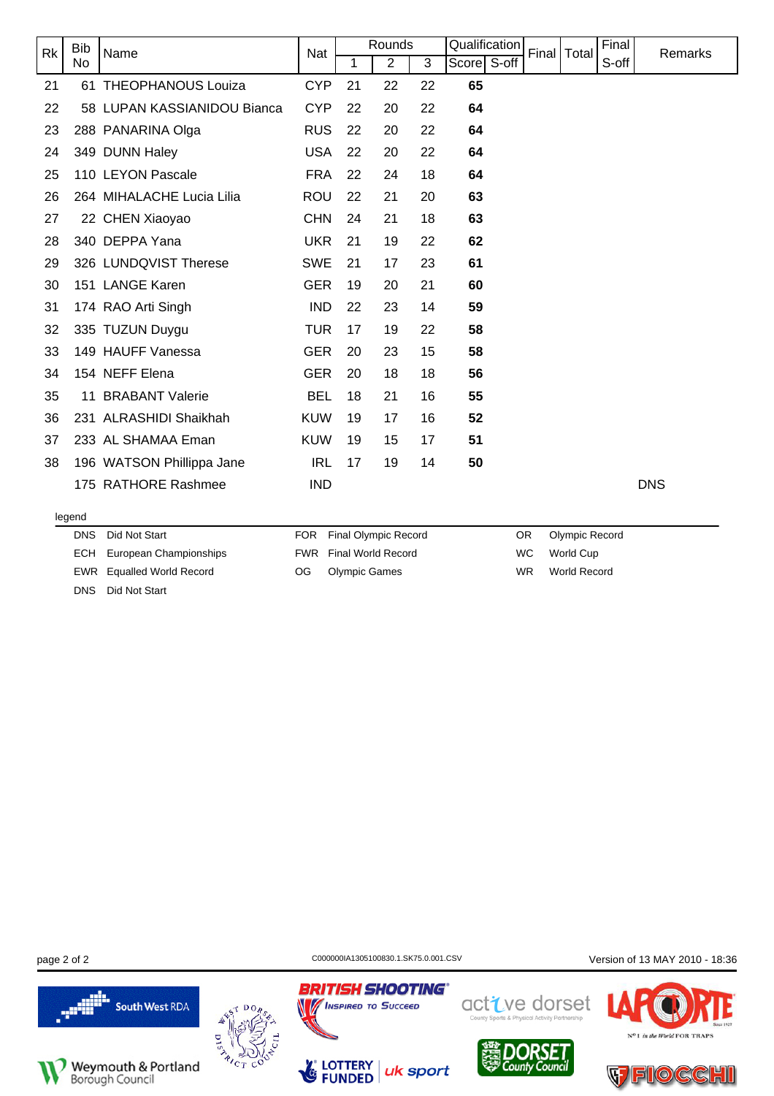| <b>Rk</b> | <b>Bib</b><br>Name |                             | Nat        |    | Rounds         |    | Qualification  | Final   Total | Final | Remarks    |
|-----------|--------------------|-----------------------------|------------|----|----------------|----|----------------|---------------|-------|------------|
|           | No                 |                             |            | 1  | $\overline{2}$ | 3  | S-off<br>Score |               | S-off |            |
| 21        |                    | 61 THEOPHANOUS Louiza       | <b>CYP</b> | 21 | 22             | 22 | 65             |               |       |            |
| 22        |                    | 58 LUPAN KASSIANIDOU Bianca | <b>CYP</b> | 22 | 20             | 22 | 64             |               |       |            |
| 23        |                    | 288 PANARINA Olga           | <b>RUS</b> | 22 | 20             | 22 | 64             |               |       |            |
| 24        |                    | 349 DUNN Haley              | <b>USA</b> | 22 | 20             | 22 | 64             |               |       |            |
| 25        |                    | 110 LEYON Pascale           | <b>FRA</b> | 22 | 24             | 18 | 64             |               |       |            |
| 26        |                    | 264 MIHALACHE Lucia Lilia   | <b>ROU</b> | 22 | 21             | 20 | 63             |               |       |            |
| 27        |                    | 22 CHEN Xiaoyao             | <b>CHN</b> | 24 | 21             | 18 | 63             |               |       |            |
| 28        |                    | 340 DEPPA Yana              | <b>UKR</b> | 21 | 19             | 22 | 62             |               |       |            |
| 29        |                    | 326 LUNDQVIST Therese       | <b>SWE</b> | 21 | 17             | 23 | 61             |               |       |            |
| 30        |                    | 151 LANGE Karen             | <b>GER</b> | 19 | 20             | 21 | 60             |               |       |            |
| 31        |                    | 174 RAO Arti Singh          | <b>IND</b> | 22 | 23             | 14 | 59             |               |       |            |
| 32        |                    | 335 TUZUN Duygu             | <b>TUR</b> | 17 | 19             | 22 | 58             |               |       |            |
| 33        |                    | 149 HAUFF Vanessa           | <b>GER</b> | 20 | 23             | 15 | 58             |               |       |            |
| 34        |                    | 154 NEFF Elena              | <b>GER</b> | 20 | 18             | 18 | 56             |               |       |            |
| 35        |                    | 11 BRABANT Valerie          | <b>BEL</b> | 18 | 21             | 16 | 55             |               |       |            |
| 36        | 231                | <b>ALRASHIDI Shaikhah</b>   | <b>KUW</b> | 19 | 17             | 16 | 52             |               |       |            |
| 37        |                    | 233 AL SHAMAA Eman          | <b>KUW</b> | 19 | 15             | 17 | 51             |               |       |            |
| 38        |                    | 196 WATSON Phillippa Jane   | <b>IRL</b> | 17 | 19             | 14 | 50             |               |       |            |
|           |                    | 175 RATHORE Rashmee         | <b>IND</b> |    |                |    |                |               |       | <b>DNS</b> |
|           | legend             |                             |            |    |                |    |                |               |       |            |

| DNS Did Not Start                 |
|-----------------------------------|
| <b>ECH</b> European Championships |
| EWR Equalled World Record         |

FOR Final Olympic Record FWR Final World Record OG Olympic Games

OR Olympic Record WC World Cup WR World Record

DNS Did Not Start





uk sport

**BRITISH SHOOTING®** 

**No INSPIRED TO SUCCEED** 

**LOTTERY**<br>**FUNDED** 

LG

page 2 of 2 C000000141305100830.1.SK75.0.001.CSV Version of 13 MAY 2010 - 18:36



active dorset



N<sup>o</sup>1 in the World FOR TRAPS